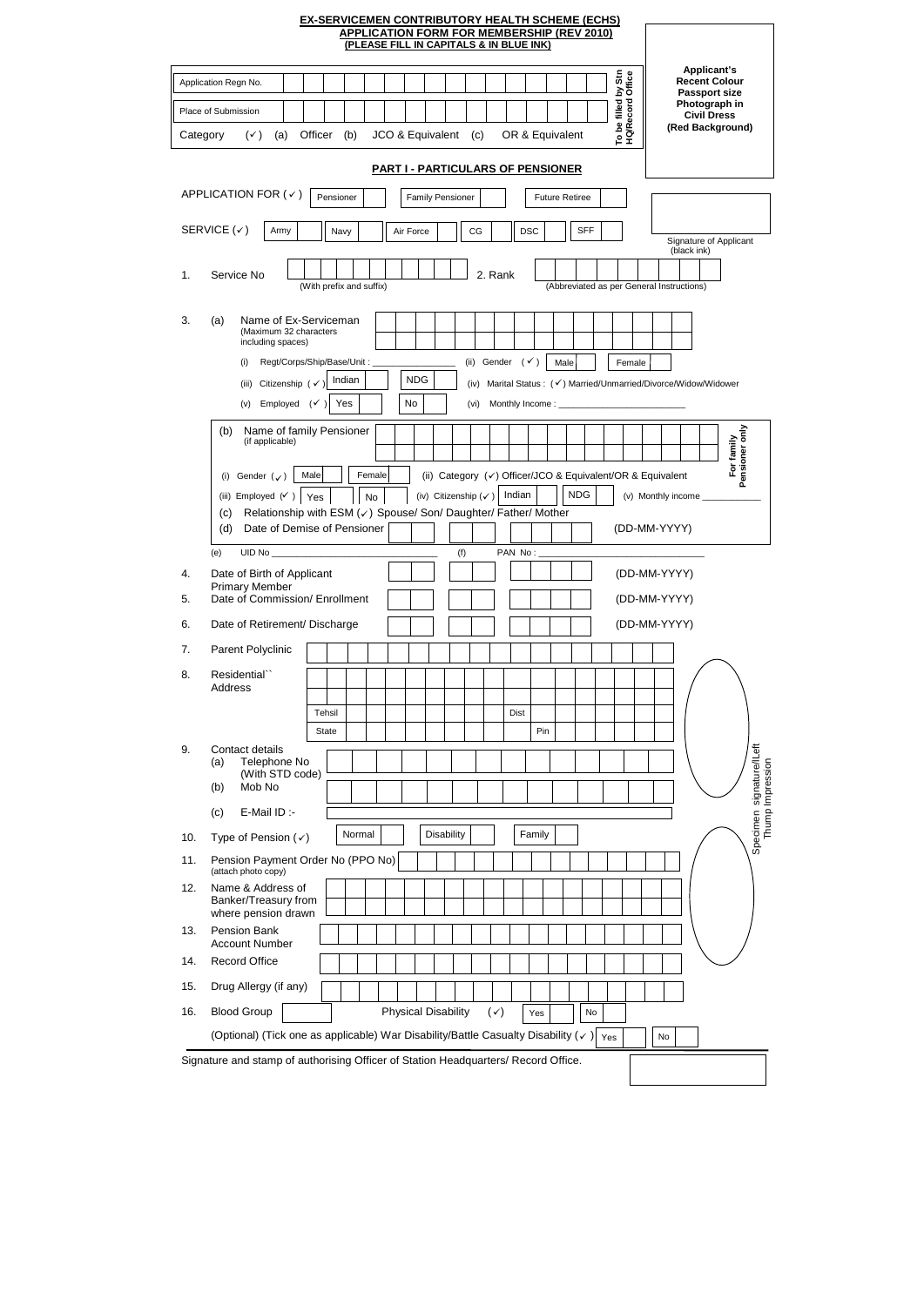|                                                                                                          | <b>EX-SERVICEMEN CONTRIBUTORY HEALTH SCHEME (ECHS)</b>                                                                                                    | (PLEASE FILL IN CAPITALS & IN BLUE INK) |                                 | <b>APPLICATION FORM FOR MEMBERSHIP (REV 2010)</b>                    |                                           |                                                                                                                        |                                              |
|----------------------------------------------------------------------------------------------------------|-----------------------------------------------------------------------------------------------------------------------------------------------------------|-----------------------------------------|---------------------------------|----------------------------------------------------------------------|-------------------------------------------|------------------------------------------------------------------------------------------------------------------------|----------------------------------------------|
| Application Regn No.<br>Place of Submission<br>$(\checkmark)$<br>Category<br>(a)                         | Officer<br>(b)                                                                                                                                            | JCO & Equivalent (c)                    |                                 | OR & Equivalent<br><b>PART I - PARTICULARS OF PENSIONER</b>          | To be filled by Stn<br>HQ/Record Office   | Applicant's<br><b>Recent Colour</b><br><b>Passport size</b><br>Photograph in<br><b>Civil Dress</b><br>(Red Background) |                                              |
| APPLICATION FOR $($ $\checkmark$ $)$                                                                     | Pensioner                                                                                                                                                 | <b>Family Pensioner</b>                 |                                 | <b>Future Retiree</b>                                                |                                           |                                                                                                                        |                                              |
| SERVICE $(\checkmark)$<br>Army                                                                           | Navy                                                                                                                                                      | Air Force                               | CG                              | <b>DSC</b>                                                           | <b>SFF</b>                                | Signature of Applicant                                                                                                 |                                              |
| Service No<br>1.                                                                                         | (With prefix and suffix)                                                                                                                                  |                                         | 2. Rank                         |                                                                      | (Abbreviated as per General Instructions) | (black ink)                                                                                                            |                                              |
| 3.<br>(a)<br>(Maximum 32 characters<br>including spaces)<br>(i)                                          | Name of Ex-Serviceman<br>Regt/Corps/Ship/Base/Unit:                                                                                                       |                                         | (ii)                            | Gender $(\checkmark)$<br>Male                                        | Female                                    |                                                                                                                        |                                              |
| Citizenship (v<br>(iii)<br>Employed<br>(v)                                                               | Indian<br>Yes<br>$(\checkmark)$                                                                                                                           | <b>NDG</b><br>No                        | (iv)<br>(vi)                    | Marital Status: (√) Married/Unmarried/Divorce/Widow/Widower          |                                           |                                                                                                                        |                                              |
| (b)<br>(if applicable)<br>Gender $(\checkmark)$<br>(i)<br>(iii) Employed $(\checkmark)$<br>(c)<br>(d)    | Name of family Pensioner<br>Female<br>Male<br>Yes<br>No<br>Relationship with ESM (v) Spouse/ Son/ Daughter/ Father/ Mother<br>Date of Demise of Pensioner |                                         | (iv) Citizenship $(\checkmark)$ | (ii) Category (v) Officer/JCO & Equivalent/OR & Equivalent<br>Indian | <b>NDG</b>                                | (v) Monthly income<br>(DD-MM-YYYY)                                                                                     | For family<br>Pensioner only                 |
| (e)<br>Date of Birth of Applicant<br>4.<br><b>Primary Member</b><br>Date of Commission/ Enrollment<br>5. |                                                                                                                                                           |                                         | (f)                             | PAN No:                                                              |                                           | (DD-MM-YYYY)<br>(DD-MM-YYYY)                                                                                           |                                              |
| Date of Retirement/ Discharge<br>6.                                                                      |                                                                                                                                                           |                                         |                                 |                                                                      |                                           | (DD-MM-YYYY)                                                                                                           |                                              |
| 7.<br>Parent Polyclinic                                                                                  |                                                                                                                                                           |                                         |                                 |                                                                      |                                           |                                                                                                                        |                                              |
| 8.<br>Residential``<br>Address                                                                           | Tehsil<br>State                                                                                                                                           |                                         |                                 | <b>Dist</b><br>Pin                                                   |                                           |                                                                                                                        |                                              |
| 9.<br>Contact details<br>Telephone No<br>(a)<br>(With STD code)<br>Mob No<br>(b)                         |                                                                                                                                                           |                                         |                                 |                                                                      |                                           |                                                                                                                        | Specimen signature/ILeft<br>Thump Impression |
| E-Mail ID :-<br>(c)                                                                                      | Normal                                                                                                                                                    | Disability                              |                                 | Family                                                               |                                           |                                                                                                                        |                                              |
| 10.<br>Type of Pension $(\checkmark)$<br>11.                                                             | Pension Payment Order No (PPO No)                                                                                                                         |                                         |                                 |                                                                      |                                           |                                                                                                                        |                                              |
| (attach photo copy)<br>12.<br>Name & Address of<br>Banker/Treasury from<br>where pension drawn           |                                                                                                                                                           |                                         |                                 |                                                                      |                                           |                                                                                                                        |                                              |
| 13.<br>Pension Bank<br><b>Account Number</b>                                                             |                                                                                                                                                           |                                         |                                 |                                                                      |                                           |                                                                                                                        |                                              |
| <b>Record Office</b><br>14.                                                                              |                                                                                                                                                           |                                         |                                 |                                                                      |                                           |                                                                                                                        |                                              |

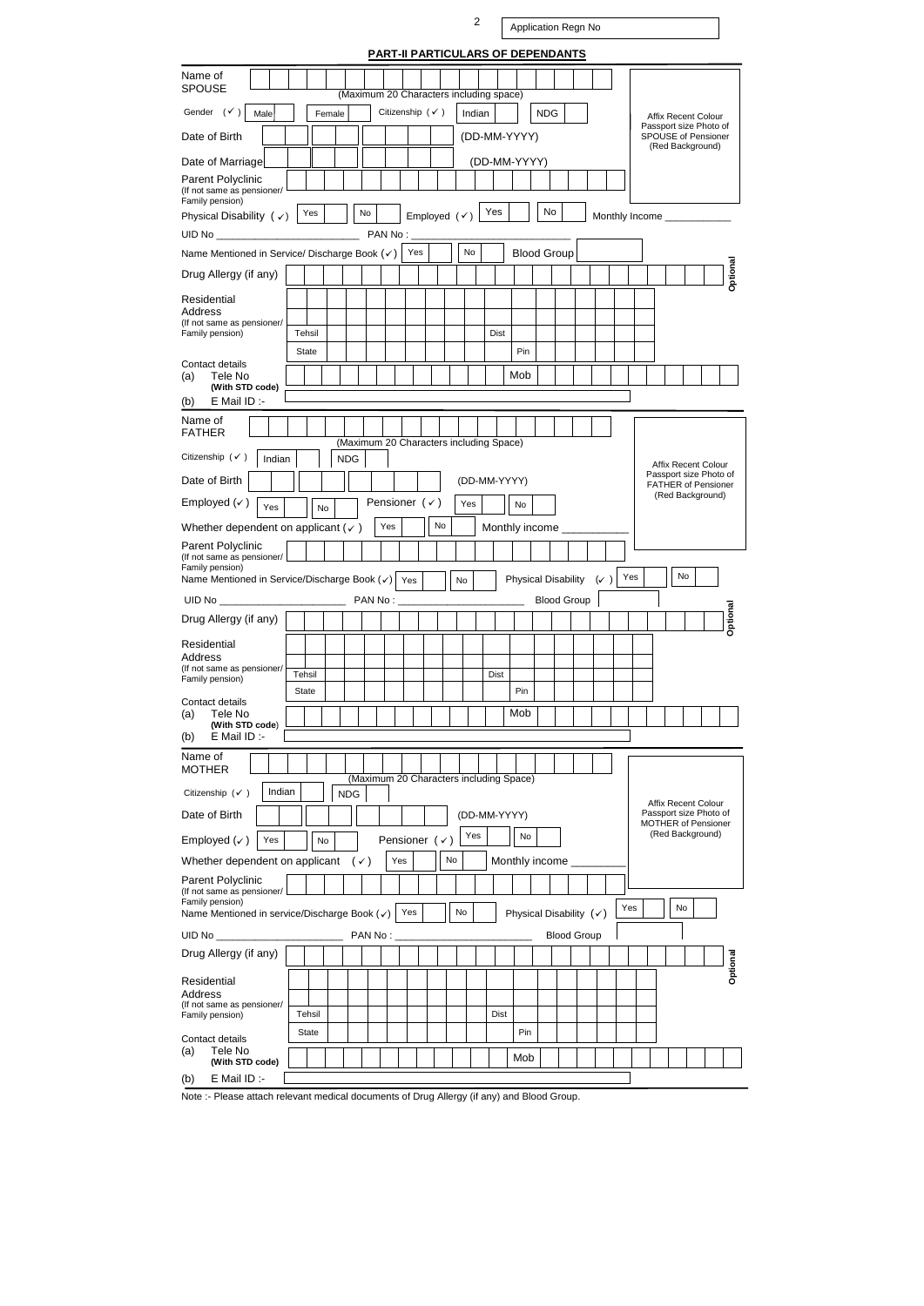2

| PART-II PARTICULARS OF DEPENDANTS                                                       |                                                                                             |
|-----------------------------------------------------------------------------------------|---------------------------------------------------------------------------------------------|
| Name of<br><b>SPOUSE</b><br>(Maximum 20 Characters including space)                     |                                                                                             |
| Gender $(\checkmark)$<br>Citizenship $(\checkmark)$<br>Male<br>Female                   | <b>NDG</b><br>Indian<br>Affix Recent Colour                                                 |
| Date of Birth                                                                           | Passport size Photo of<br>(DD-MM-YYYY)<br>SPOUSE of Pensioner<br>(Red Background)           |
| Date of Marriage                                                                        | (DD-MM-YYYY)                                                                                |
| Parent Polyclinic<br>(If not same as pensioner/<br>Family pension)                      |                                                                                             |
| No<br>Yes<br>Employed $(\checkmark)$<br>Physical Disability $(\checkmark)$              | No<br>Yes<br>Monthly Income ______________                                                  |
| PAN No:                                                                                 |                                                                                             |
| No<br>Yes<br>Name Mentioned in Service/ Discharge Book (v)                              | <b>Blood Group</b>                                                                          |
| Drug Allergy (if any)                                                                   | Optional                                                                                    |
| Residential<br>Address                                                                  |                                                                                             |
| (If not same as pensioner/<br>Family pension)<br>Tehsil                                 | Dist                                                                                        |
| State                                                                                   | Pin                                                                                         |
| Contact details<br>Tele No<br>(a)                                                       | Mob                                                                                         |
| (With STD code)<br>E Mail ID :-<br>(b)                                                  |                                                                                             |
| Name of                                                                                 |                                                                                             |
| <b>FATHER</b><br>(Maximum 20 Characters including Space)<br>Citizenship $(\checkmark)$  |                                                                                             |
| <b>NDG</b><br>Indian<br>Date of Birth                                                   | <b>Affix Recent Colour</b><br>Passport size Photo of<br>(DD-MM-YYYY)                        |
| Employed $(\checkmark)$<br>Pensioner $(\checkmark)$<br>Yes                              | <b>FATHER of Pensioner</b><br>(Red Background)<br>No                                        |
| Yes<br><b>No</b><br>No<br>Yes<br>Whether dependent on applicant ( $\checkmark$ )        | Monthly income ________                                                                     |
| Parent Polyclinic<br>(If not same as pensioner/                                         |                                                                                             |
| Family pension)<br>Name Mentioned in Service/Discharge Book (√)                         | No<br>Yes                                                                                   |
| No<br>Yes<br>PAN No:                                                                    | <b>Physical Disability</b><br>$(\checkmark)$<br><b>Blood Group</b>                          |
| Drug Allergy (if any)                                                                   | Optional                                                                                    |
| Residential                                                                             |                                                                                             |
| Address                                                                                 |                                                                                             |
| (If not same as pensioner/<br>Tehsil<br>Family pension)                                 | Dist                                                                                        |
| <b>State</b><br>Contact details                                                         | Pin                                                                                         |
| Tele No<br>(a)<br>(With STD code)                                                       | Mob                                                                                         |
| E Mail ID :-<br>(b)                                                                     |                                                                                             |
| Name of<br><b>MOTHER</b><br>(Maximum 20 Characters including Space)                     |                                                                                             |
| Indian<br>Citizenship $(\checkmark)$<br><b>NDG</b>                                      |                                                                                             |
| Date of Birth                                                                           | Affix Recent Colour<br>Passport size Photo of<br>(DD-MM-YYYY)<br><b>MOTHER of Pensioner</b> |
| Yes<br>Pensioner $(\checkmark)$<br>Employed $(\checkmark)$<br>Yes<br>No                 | (Red Background)<br>No                                                                      |
| Whether dependent on applicant<br>No<br>$(\checkmark)$<br>Yes                           | Monthly income ___                                                                          |
| Parent Polyclinic<br>(If not same as pensioner/                                         |                                                                                             |
| Family pension)<br>No<br>Name Mentioned in service/Discharge Book $(\checkmark)$<br>Yes | No<br>Yes<br>Physical Disability $(\checkmark)$                                             |
| <b>UID No __________</b><br>PAN No:                                                     | <b>Blood Group</b>                                                                          |
| Drug Allergy (if any)                                                                   | Optional                                                                                    |
| Residential                                                                             |                                                                                             |
| Address<br>(If not same as pensioner/                                                   |                                                                                             |
| Tehsil<br>Family pension)<br><b>State</b>                                               | Dist<br>Pin                                                                                 |
| Contact details<br>Tele No<br>(a)                                                       | Mob                                                                                         |
| (With STD code)<br>E Mail ID :-<br>(b)                                                  |                                                                                             |
|                                                                                         |                                                                                             |

**PART-II PARTICULARS OF DEPENDANTS**

Note :- Please attach relevant medical documents of Drug Allergy (if any) and Blood Group.

Application Regn No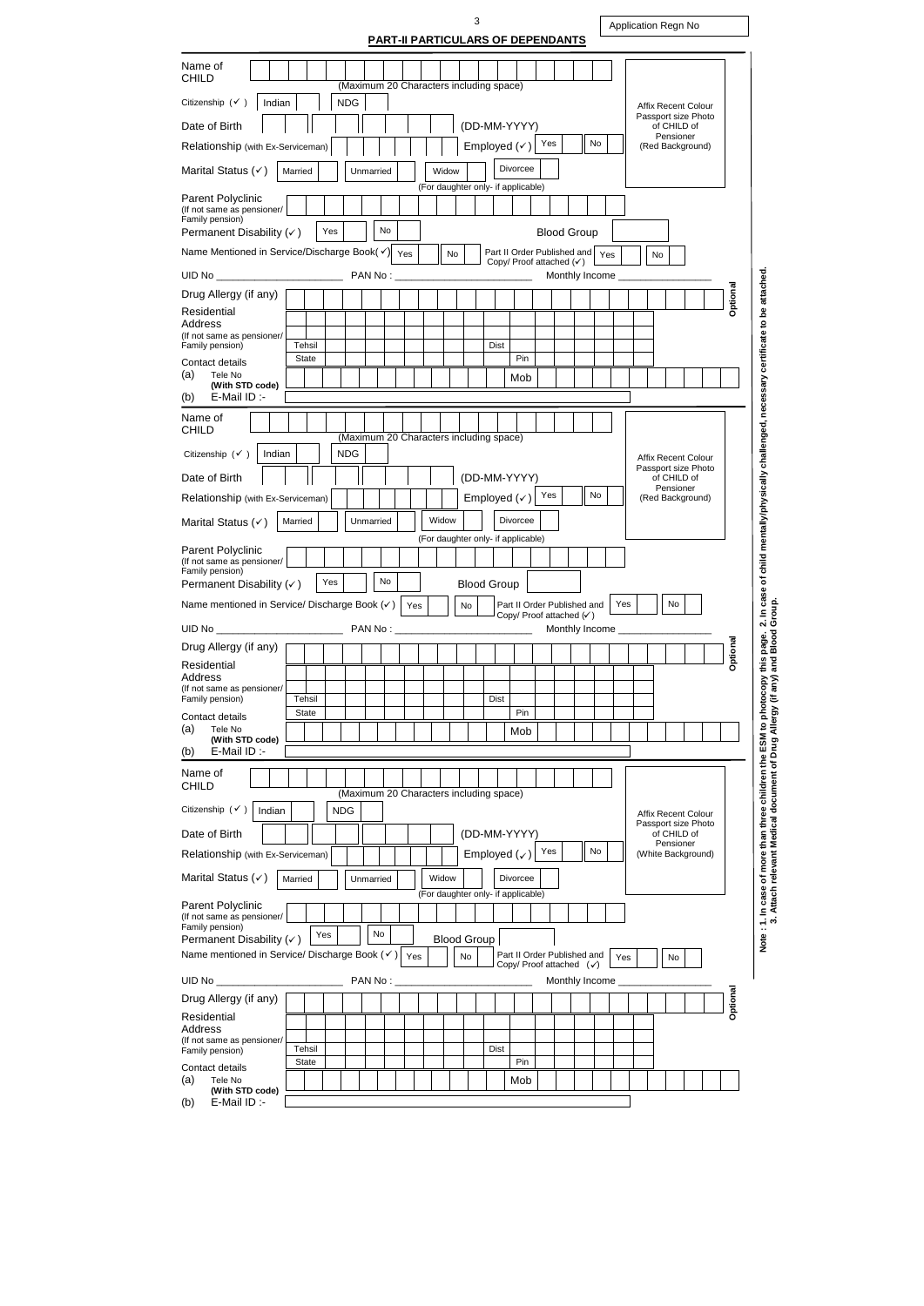3

| PART-II PARTICULARS OF DEPENDANTS                                                                                                                          |
|------------------------------------------------------------------------------------------------------------------------------------------------------------|
| Name of<br><b>CHILD</b>                                                                                                                                    |
| (Maximum 20 Characters including space)<br>Citizenship $(\checkmark)$<br><b>NDG</b><br>Indian                                                              |
| <b>Affix Recent Colour</b><br>Passport size Photo                                                                                                          |
| Date of Birth<br>(DD-MM-YYYY)<br>of CHILD of<br>Pensioner<br>No<br>Yes<br>Employed $(\checkmark)$<br>Relationship (with Ex-Serviceman)<br>(Red Background) |
| Divorcee<br>Marital Status $(\checkmark)$<br>Married<br>Unmarried<br>Widow                                                                                 |
| (For daughter only- if applicable)                                                                                                                         |
| Parent Polyclinic<br>(If not same as pensioner/                                                                                                            |
| Family pension)<br>No<br>Permanent Disability $(\checkmark)$<br>Yes<br><b>Blood Group</b>                                                                  |
| Name Mentioned in Service/Discharge Book( $\checkmark$ )<br>Part II Order Published and<br>Yes<br>No<br>Yes<br>No                                          |
| Copy/ Proof attached (v)<br>UID No __________<br>PAN No:<br>Monthly Income _                                                                               |
| Optional<br>Drug Allergy (if any)                                                                                                                          |
| Residential<br>Address                                                                                                                                     |
| (If not same as pensioner/<br>Tehsil<br>Family pension)<br>Dist                                                                                            |
| Pin<br>State<br>Contact details                                                                                                                            |
| (a)<br>Tele No<br>Mob<br>(With STD code)                                                                                                                   |
| E-Mail ID :-<br>(b)                                                                                                                                        |
| Name of<br><b>CHILD</b>                                                                                                                                    |
| (Maximum 20 Characters including space)                                                                                                                    |
| <b>NDG</b><br>Citizenship $(\checkmark)$<br>Indian<br>Affix Recent Colour<br>Passport size Photo                                                           |
| Date of Birth<br>(DD-MM-YYYY)<br>of CHILD of<br>Pensioner                                                                                                  |
| No<br>Yes<br>Employed $(\checkmark)$<br>Relationship (with Ex-Serviceman)<br>(Red Background)                                                              |
| Widow<br><b>Divorcee</b><br>Married<br>Unmarried<br>Marital Status $(\checkmark)$                                                                          |
| (For daughter only- if applicable)<br>Parent Polyclinic                                                                                                    |
| (If not same as pensioner/<br>Family pension)                                                                                                              |
| No<br>Yes<br><b>Blood Group</b><br>Permanent Disability $(\checkmark)$                                                                                     |
| No<br>Yes<br>Name mentioned in Service/ Discharge Book (v)<br>Part II Order Published and<br>Yes<br>No.<br>Copy/ Proof attached (v)                        |
| Monthly Income ___________                                                                                                                                 |
| Optional<br>Drug Allergy (if any)                                                                                                                          |
| Residential<br>Address                                                                                                                                     |
| (If not same as pensioner/<br>Family pension)<br>Tehsil<br>Dist                                                                                            |
| Pin<br>State<br>Contact details                                                                                                                            |
| (a)<br>Tele No<br>Mob<br>(With STD code)                                                                                                                   |
| E-Mail ID :-<br>(b)                                                                                                                                        |
| Name of<br><b>CHILD</b>                                                                                                                                    |
| (Maximum 20 Characters including space)<br>Citizenship $(\checkmark)$                                                                                      |
| Indian<br><b>NDG</b><br><b>Affix Recent Colour</b><br>Passport size Photo                                                                                  |
| Date of Birth<br>(DD-MM-YYYY)<br>of CHILD of<br>Pensioner<br>Yes<br>No                                                                                     |
| Employed $(\checkmark)$<br>Relationship (with Ex-Serviceman)<br>(White Background)                                                                         |
| Marital Status $(\checkmark)$<br>Divorcee<br>Widow<br>Unmarried<br>Married                                                                                 |
| (For daughter only- if applicable)<br>Parent Polyclinic<br>(If not same as pensioner/                                                                      |
| Family pension)<br>No<br>Yes<br><b>Blood Group</b><br>Permanent Disability $(\checkmark)$                                                                  |
| Name mentioned in Service/ Discharge Book (√)<br>Part II Order Published and<br>Yes<br>No<br>Yes<br>No<br>Copy/ Proof attached $(\checkmark)$              |
| PAN No:<br>UID No $\overline{\phantom{a}}$<br>Monthly Income ___                                                                                           |
| Optional<br>Drug Allergy (if any)                                                                                                                          |
| Residential                                                                                                                                                |
| Address<br>(If not same as pensioner/                                                                                                                      |
| Tehsil<br>Dist<br>Family pension)<br>Pin<br><b>State</b><br>Contact details                                                                                |
| (a)<br>Mob<br>Tele No                                                                                                                                      |
| (With STD code)                                                                                                                                            |

Application Regn No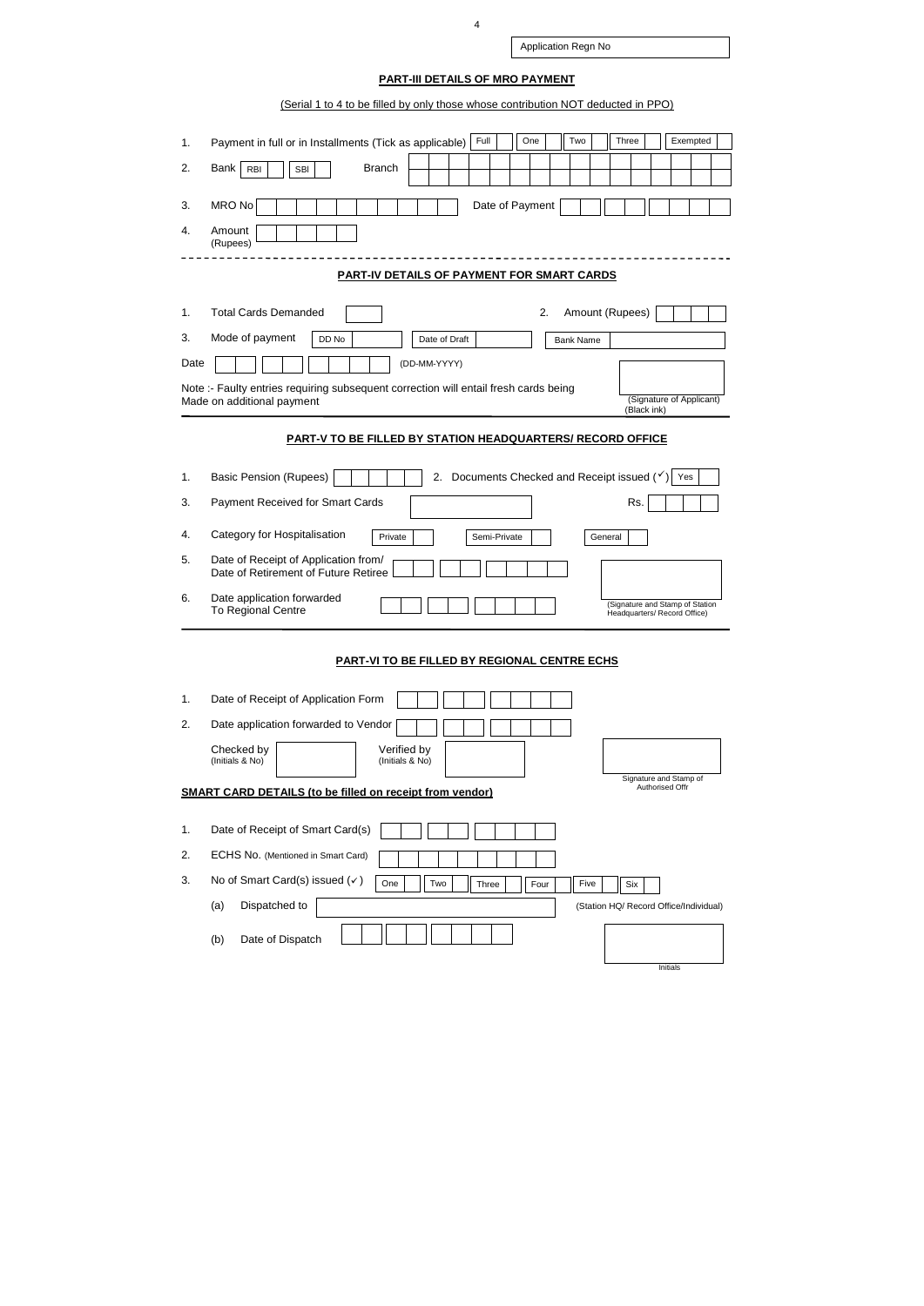| Application Regn No |
|---------------------|

# **PART-III DETAILS OF MRO PAYMENT**

## (Serial 1 to 4 to be filled by only those whose contribution NOT deducted in PPO)

| 1.   | Full<br>One<br>Two<br>Three<br>Exempted<br>Payment in full or in Installments (Tick as applicable)                                             |  |  |  |  |  |  |  |  |
|------|------------------------------------------------------------------------------------------------------------------------------------------------|--|--|--|--|--|--|--|--|
| 2.   | <b>Branch</b><br><b>Bank</b><br><b>RBI</b><br><b>SBI</b>                                                                                       |  |  |  |  |  |  |  |  |
|      |                                                                                                                                                |  |  |  |  |  |  |  |  |
| 3.   | <b>MRO No</b><br>Date of Payment                                                                                                               |  |  |  |  |  |  |  |  |
| 4.   | Amount<br>(Rupees)                                                                                                                             |  |  |  |  |  |  |  |  |
|      | PART-IV DETAILS OF PAYMENT FOR SMART CARDS                                                                                                     |  |  |  |  |  |  |  |  |
|      |                                                                                                                                                |  |  |  |  |  |  |  |  |
| 1.   | Amount (Rupees)<br><b>Total Cards Demanded</b><br>2.                                                                                           |  |  |  |  |  |  |  |  |
| 3.   | Mode of payment<br>DD No<br>Date of Draft<br><b>Bank Name</b>                                                                                  |  |  |  |  |  |  |  |  |
| Date | (DD-MM-YYYY)                                                                                                                                   |  |  |  |  |  |  |  |  |
|      | Note :- Faulty entries requiring subsequent correction will entail fresh cards being<br>(Signature of Applicant)<br>Made on additional payment |  |  |  |  |  |  |  |  |
|      | (Black ink)                                                                                                                                    |  |  |  |  |  |  |  |  |
|      | <b>PART-V TO BE FILLED BY STATION HEADQUARTERS/ RECORD OFFICE</b>                                                                              |  |  |  |  |  |  |  |  |
| 1.   | <b>Basic Pension (Rupees)</b><br>Documents Checked and Receipt issued $(\check{\mathsf{y}})$ Yes<br>2.                                         |  |  |  |  |  |  |  |  |
| 3.   | Payment Received for Smart Cards<br>Rs.                                                                                                        |  |  |  |  |  |  |  |  |
|      |                                                                                                                                                |  |  |  |  |  |  |  |  |
| 4.   | Category for Hospitalisation<br>Private<br>Semi-Private<br>General                                                                             |  |  |  |  |  |  |  |  |
| 5.   | Date of Receipt of Application from/<br>Date of Retirement of Future Retiree                                                                   |  |  |  |  |  |  |  |  |
| 6.   | Date application forwarded<br>(Signature and Stamp of Station<br>To Regional Centre<br>Headquarters/ Record Office)                            |  |  |  |  |  |  |  |  |
|      | <b>PART-VI TO BE FILLED BY REGIONAL CENTRE ECHS</b>                                                                                            |  |  |  |  |  |  |  |  |
|      |                                                                                                                                                |  |  |  |  |  |  |  |  |
| 1.   | Date of Receipt of Application Form                                                                                                            |  |  |  |  |  |  |  |  |
| 2.   | Date application forwarded to Vendor                                                                                                           |  |  |  |  |  |  |  |  |
|      | Checked by<br>Verified by<br>(Initials & No)<br>(Initials & No)                                                                                |  |  |  |  |  |  |  |  |
|      | Signature and Stamp of<br>Authorised Offr                                                                                                      |  |  |  |  |  |  |  |  |
|      | <b>SMART CARD DETAILS (to be filled on receipt from vendor)</b>                                                                                |  |  |  |  |  |  |  |  |
| 1.   | Date of Receipt of Smart Card(s)                                                                                                               |  |  |  |  |  |  |  |  |
| 2.   | ECHS No. (Mentioned in Smart Card)                                                                                                             |  |  |  |  |  |  |  |  |
| 3.   | No of Smart Card(s) issued $(v)$<br>One<br>Two<br>Five<br>Three<br>Four<br>Six                                                                 |  |  |  |  |  |  |  |  |
|      | Dispatched to<br>(a)<br>(Station HQ/ Record Office/Individual)                                                                                 |  |  |  |  |  |  |  |  |
|      | Date of Dispatch<br>(b)                                                                                                                        |  |  |  |  |  |  |  |  |
|      | Initials                                                                                                                                       |  |  |  |  |  |  |  |  |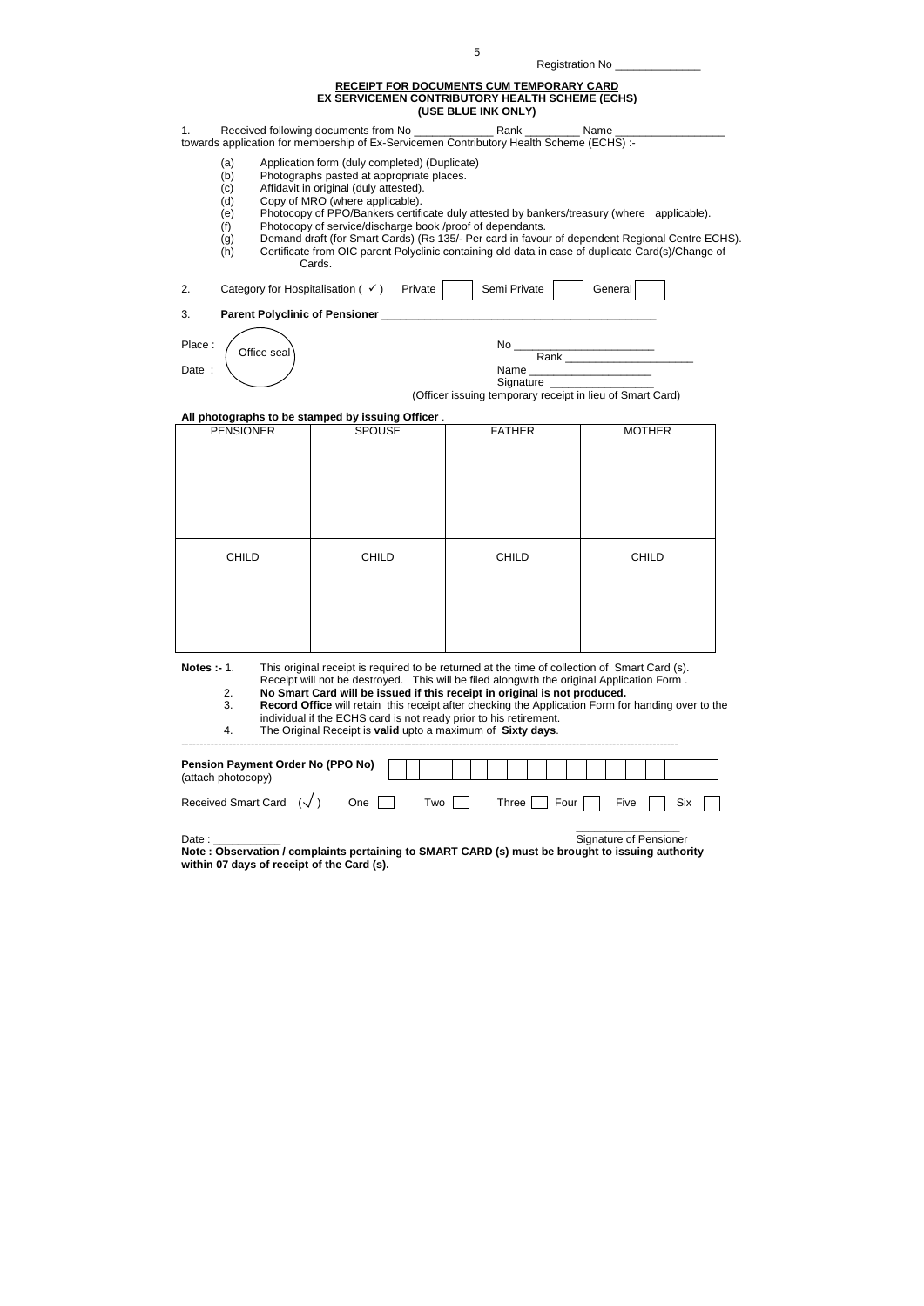|                    |                                                      |             |                                                                                                                                                                                                                                                | Registration No _____________                                                                                                                                                                                                                                            |                                                                                                                                                                                                                                                                                                    |
|--------------------|------------------------------------------------------|-------------|------------------------------------------------------------------------------------------------------------------------------------------------------------------------------------------------------------------------------------------------|--------------------------------------------------------------------------------------------------------------------------------------------------------------------------------------------------------------------------------------------------------------------------|----------------------------------------------------------------------------------------------------------------------------------------------------------------------------------------------------------------------------------------------------------------------------------------------------|
|                    |                                                      |             |                                                                                                                                                                                                                                                | <b>RECEIPT FOR DOCUMENTS CUM TEMPORARY CARD</b><br><b>EX SERVICEMEN CONTRIBUTORY HEALTH SCHEME (ECHS)</b>                                                                                                                                                                |                                                                                                                                                                                                                                                                                                    |
|                    |                                                      |             |                                                                                                                                                                                                                                                | (USE BLUE INK ONLY)                                                                                                                                                                                                                                                      |                                                                                                                                                                                                                                                                                                    |
| 1.                 |                                                      |             |                                                                                                                                                                                                                                                | towards application for membership of Ex-Servicemen Contributory Health Scheme (ECHS) :-                                                                                                                                                                                 |                                                                                                                                                                                                                                                                                                    |
|                    | (a)<br>(b)<br>(c)<br>(d)<br>(e)<br>(f)<br>(g)<br>(h) |             | Application form (duly completed) (Duplicate)<br>Photographs pasted at appropriate places.<br>Affidavit in original (duly attested).<br>Copy of MRO (where applicable).<br>Photocopy of service/discharge book /proof of dependants.<br>Cards. |                                                                                                                                                                                                                                                                          | Photocopy of PPO/Bankers certificate duly attested by bankers/treasury (where applicable).<br>Demand draft (for Smart Cards) (Rs 135/- Per card in favour of dependent Regional Centre ECHS).<br>Certificate from OIC parent Polyclinic containing old data in case of duplicate Card(s)/Change of |
| 2.                 |                                                      |             | Category for Hospitalisation $($ $\checkmark$ $)$ Private                                                                                                                                                                                      | Semi Private                                                                                                                                                                                                                                                             | General                                                                                                                                                                                                                                                                                            |
| 3.                 |                                                      |             |                                                                                                                                                                                                                                                |                                                                                                                                                                                                                                                                          |                                                                                                                                                                                                                                                                                                    |
| Place:             |                                                      | Office seal |                                                                                                                                                                                                                                                |                                                                                                                                                                                                                                                                          |                                                                                                                                                                                                                                                                                                    |
| Date:              |                                                      |             |                                                                                                                                                                                                                                                |                                                                                                                                                                                                                                                                          | Name _______________________                                                                                                                                                                                                                                                                       |
|                    |                                                      |             |                                                                                                                                                                                                                                                | Signature _______________<br>(Officer issuing temporary receipt in lieu of Smart Card)                                                                                                                                                                                   |                                                                                                                                                                                                                                                                                                    |
|                    |                                                      |             |                                                                                                                                                                                                                                                |                                                                                                                                                                                                                                                                          |                                                                                                                                                                                                                                                                                                    |
|                    | <b>PENSIONER</b>                                     |             | All photographs to be stamped by issuing Officer.<br><b>SPOUSE</b>                                                                                                                                                                             | <b>FATHER</b>                                                                                                                                                                                                                                                            | <b>MOTHER</b>                                                                                                                                                                                                                                                                                      |
|                    |                                                      |             |                                                                                                                                                                                                                                                |                                                                                                                                                                                                                                                                          |                                                                                                                                                                                                                                                                                                    |
|                    | <b>CHILD</b>                                         |             | <b>CHILD</b>                                                                                                                                                                                                                                   | <b>CHILD</b>                                                                                                                                                                                                                                                             | <b>CHILD</b>                                                                                                                                                                                                                                                                                       |
|                    | 2.<br>3.<br>4.                                       |             | individual if the ECHS card is not ready prior to his retirement.<br>The Original Receipt is valid upto a maximum of Sixty days.                                                                                                               | This original receipt is required to be returned at the time of collection of Smart Card (s).<br>Receipt will not be destroyed. This will be filed alongwith the original Application Form.<br>No Smart Card will be issued if this receipt in original is not produced. | Record Office will retain this receipt after checking the Application Form for handing over to the                                                                                                                                                                                                 |
| <b>Notes :- 1.</b> | (attach photocopy)                                   |             | Pension Payment Order No (PPO No)                                                                                                                                                                                                              |                                                                                                                                                                                                                                                                          |                                                                                                                                                                                                                                                                                                    |

**Note : Observation / complaints pertaining to SMART CARD (s) must be brought to issuing authority within 07 days of receipt of the Card (s).**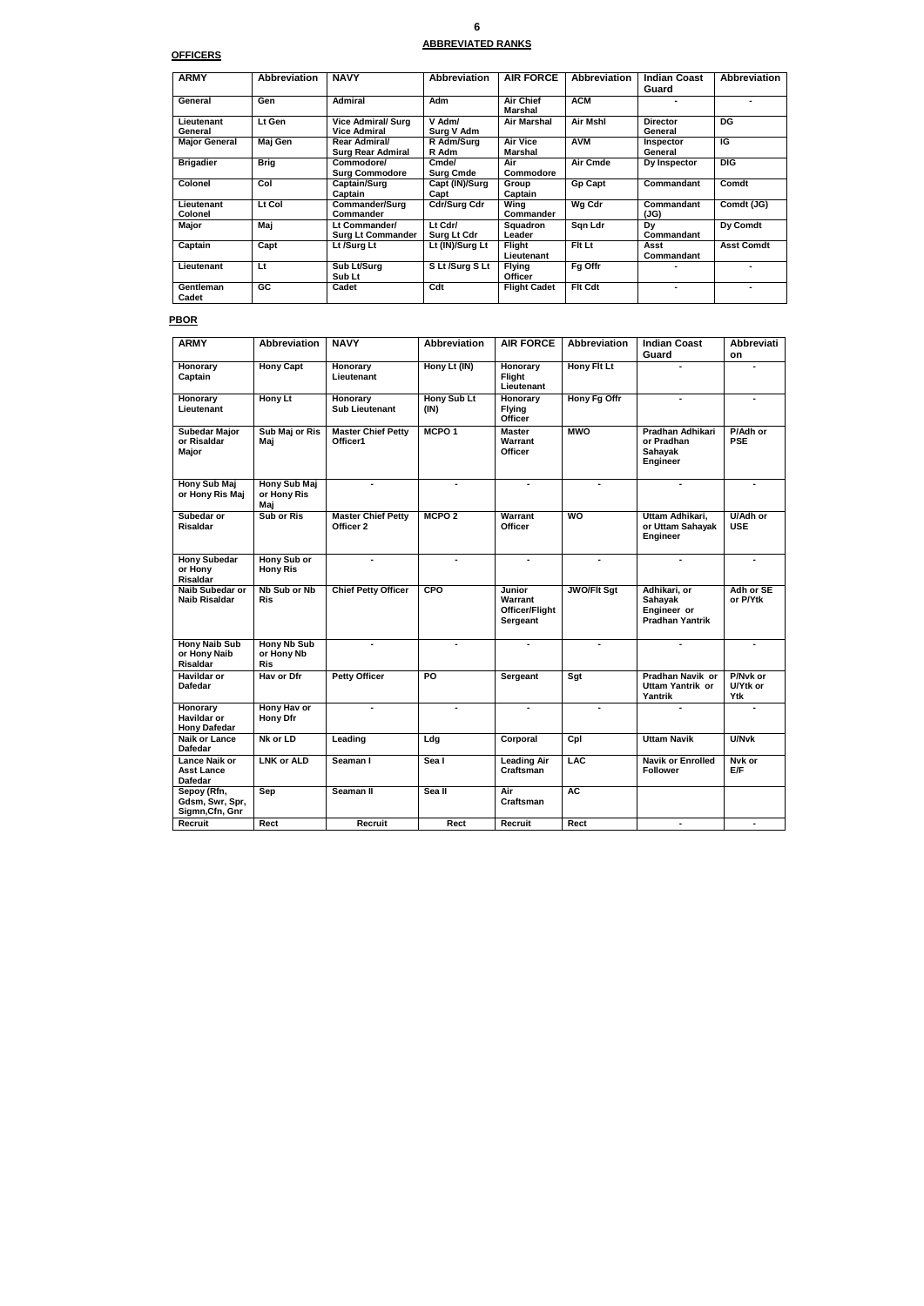**6** 

### **ABBREVIATED RANKS**

## **OFFICERS**

| <b>ARMY</b>               | <b>Abbreviation</b> | <b>NAVY</b>                                      | <b>Abbreviation</b>       | <b>AIR FORCE</b>                | <b>Abbreviation</b> | <b>Indian Coast</b><br>Guard | <b>Abbreviation</b> |
|---------------------------|---------------------|--------------------------------------------------|---------------------------|---------------------------------|---------------------|------------------------------|---------------------|
| General                   | Gen                 | <b>Admiral</b>                                   | Adm                       | <b>Air Chief</b><br>Marshal     | <b>ACM</b>          |                              |                     |
| Lieutenant<br>General     | Lt Gen              | <b>Vice Admiral/ Surg</b><br><b>Vice Admiral</b> | V Adm/<br>Surg V Adm      | Air Marshal                     | Air Mshl            | <b>Director</b><br>General   | <b>DG</b>           |
| <b>Major General</b>      | Maj Gen             | Rear Admiral/<br><b>Surg Rear Admiral</b>        | R Adm/Surg<br>R Adm       | <b>Air Vice</b><br>Marshal      | <b>AVM</b>          | Inspector<br>General         | IG                  |
| <b>Brigadier</b>          | Brig                | Commodore/<br><b>Surg Commodore</b>              | Cmde/<br><b>Surg Cmde</b> | Air<br>Commodore                | Air Cmde            | Dy Inspector                 | <b>DIG</b>          |
| <b>Colonel</b>            | Col                 | Captain/Surg<br>Captain                          | Capt (IN)/Surg<br>Capt    | Group<br>Captain                | <b>Gp Capt</b>      | <b>Commandant</b>            | Comdt               |
| Lieutenant<br>Colonel     | Lt Col              | Commander/Surg<br>Commander                      | <b>Cdr/Surg Cdr</b>       | Wing<br>Commander               | Wg Cdr              | Commandant<br>(JG)           | Comdt (JG)          |
| Major                     | Maj                 | Lt Commander/<br><b>Surg Lt Commander</b>        | Lt Cdr/<br>Surg Lt Cdr    | <b>Squadron</b><br>Leader       | San Ldr             | Dy<br>Commandant             | Dy Comdt            |
| Captain                   | Capt                | Lt /Surg Lt                                      | Lt (IN)/Surg Lt           | Flight<br>Lieutenant            | Fit Lt              | Asst<br>Commandant           | <b>Asst Comdt</b>   |
| Lieutenant                | Lt                  | Sub Lt/Surg<br>Sub Lt                            | S Lt /Surg S Lt           | <b>Flying</b><br><b>Officer</b> | Fq Offr             |                              |                     |
| <b>Gentleman</b><br>Cadet | GC.                 | Cadet                                            | Cdt                       | <b>Flight Cadet</b>             | <b>Fit Cdt</b>      | ۰                            |                     |

## **PBOR**

| <b>ARMY</b>                                                 | <b>Abbreviation</b>                            | <b>NAVY</b>                            | <b>Abbreviation</b>        | <b>AIR FORCE</b>                                       | <b>Abbreviation</b> | <b>Indian Coast</b>                                                 | Abbreviati                    |
|-------------------------------------------------------------|------------------------------------------------|----------------------------------------|----------------------------|--------------------------------------------------------|---------------------|---------------------------------------------------------------------|-------------------------------|
|                                                             |                                                |                                        |                            |                                                        |                     | Guard                                                               | on                            |
| Honorary<br>Captain                                         | <b>Hony Capt</b>                               | Honorary<br>Lieutenant                 | Hony Lt (IN)               | Honorary<br>Flight<br>Lieutenant                       | <b>Hony Flt Lt</b>  | $\blacksquare$                                                      |                               |
| Honorary<br>Lieutenant                                      | Hony Lt                                        | Honorary<br><b>Sub Lieutenant</b>      | <b>Hony Sub Lt</b><br>(IN) | Honorary<br><b>Flying</b><br>Officer                   | Hony Fg Offr        | $\blacksquare$                                                      |                               |
| <b>Subedar Major</b><br>or Risaldar<br>Major                | Sub Maj or Ris<br>Maj                          | <b>Master Chief Petty</b><br>Officer1  | MCPO <sub>1</sub>          | <b>Master</b><br>Warrant<br><b>Officer</b>             | <b>MWO</b>          | Pradhan Adhikari<br>or Pradhan<br><b>Sahayak</b><br><b>Engineer</b> | P/Adh or<br><b>PSE</b>        |
| <b>Hony Sub Maj</b><br>or Hony Ris Maj                      | <b>Hony Sub Maj</b><br>or Hony Ris<br>Maj      | $\blacksquare$                         | $\blacksquare$             | $\blacksquare$                                         | $\blacksquare$      | $\blacksquare$                                                      | $\blacksquare$                |
| Subedar or<br><b>Risaldar</b>                               | <b>Sub or Ris</b>                              | <b>Master Chief Petty</b><br>Officer 2 | MCPO <sub>2</sub>          | Warrant<br><b>Officer</b>                              | WO                  | Uttam Adhikari,<br>or Uttam Sahayak<br><b>Engineer</b>              | <b>U/Adh or</b><br><b>USE</b> |
| <b>Hony Subedar</b><br>or Hony<br><b>Risaldar</b>           | Hony Sub or<br><b>Hony Ris</b>                 |                                        |                            |                                                        |                     |                                                                     |                               |
| <b>Naib Subedar or</b><br>Naib Risaldar                     | <b>Nb Sub or Nb</b><br><b>Ris</b>              | <b>Chief Petty Officer</b>             | <b>CPO</b>                 | Junior<br>Warrant<br><b>Officer/Flight</b><br>Sergeant | <b>JWO/FIt Sgt</b>  | Adhikari, or<br>Sahayak<br>Engineer or<br>Pradhan Yantrik           | Adh or SE<br>or P/Ytk         |
| <b>Hony Naib Sub</b><br>or Hony Naib<br><b>Risaldar</b>     | <b>Hony Nb Sub</b><br>or Hony Nb<br><b>Ris</b> | $\blacksquare$                         |                            |                                                        |                     |                                                                     |                               |
| <b>Havildar or</b><br><b>Dafedar</b>                        | Hav or Dfr                                     | <b>Petty Officer</b>                   | P <sub>O</sub>             | <b>Sergeant</b>                                        | Sgt                 | <b>Pradhan Navik or</b><br>Uttam Yantrik or<br>Yantrik              | P/Nyk or<br>U/Ytk or<br>Ytk   |
| Honorary<br>Havildar or<br><b>Hony Dafedar</b>              | Hony Hav or<br><b>Hony Dfr</b>                 | $\blacksquare$                         |                            | $\blacksquare$                                         |                     |                                                                     |                               |
| <b>Naik or Lance</b><br><b>Dafedar</b>                      | Nk or LD                                       | Leading                                | Ldg                        | Corporal                                               | Cpl                 | <b>Uttam Navik</b>                                                  | <b>U/Nvk</b>                  |
| <b>Lance Naik or</b><br><b>Asst Lance</b><br><b>Dafedar</b> | <b>LNK or ALD</b>                              | Seaman I                               | Sea I                      | <b>Leading Air</b><br>Craftsman                        | <b>LAC</b>          | <b>Navik or Enrolled</b><br><b>Follower</b>                         | Nvk or<br>E/F                 |
| Sepoy (Rfn,<br>Gdsm, Swr, Spr,<br>Sigmn, Cfn, Gnr           | Sep                                            | Seaman II                              | Sea II                     | Air<br>Craftsman                                       | <b>AC</b>           |                                                                     |                               |
| Recruit                                                     | Rect                                           | Recruit                                | Rect                       | <b>Recruit</b>                                         | Rect                |                                                                     |                               |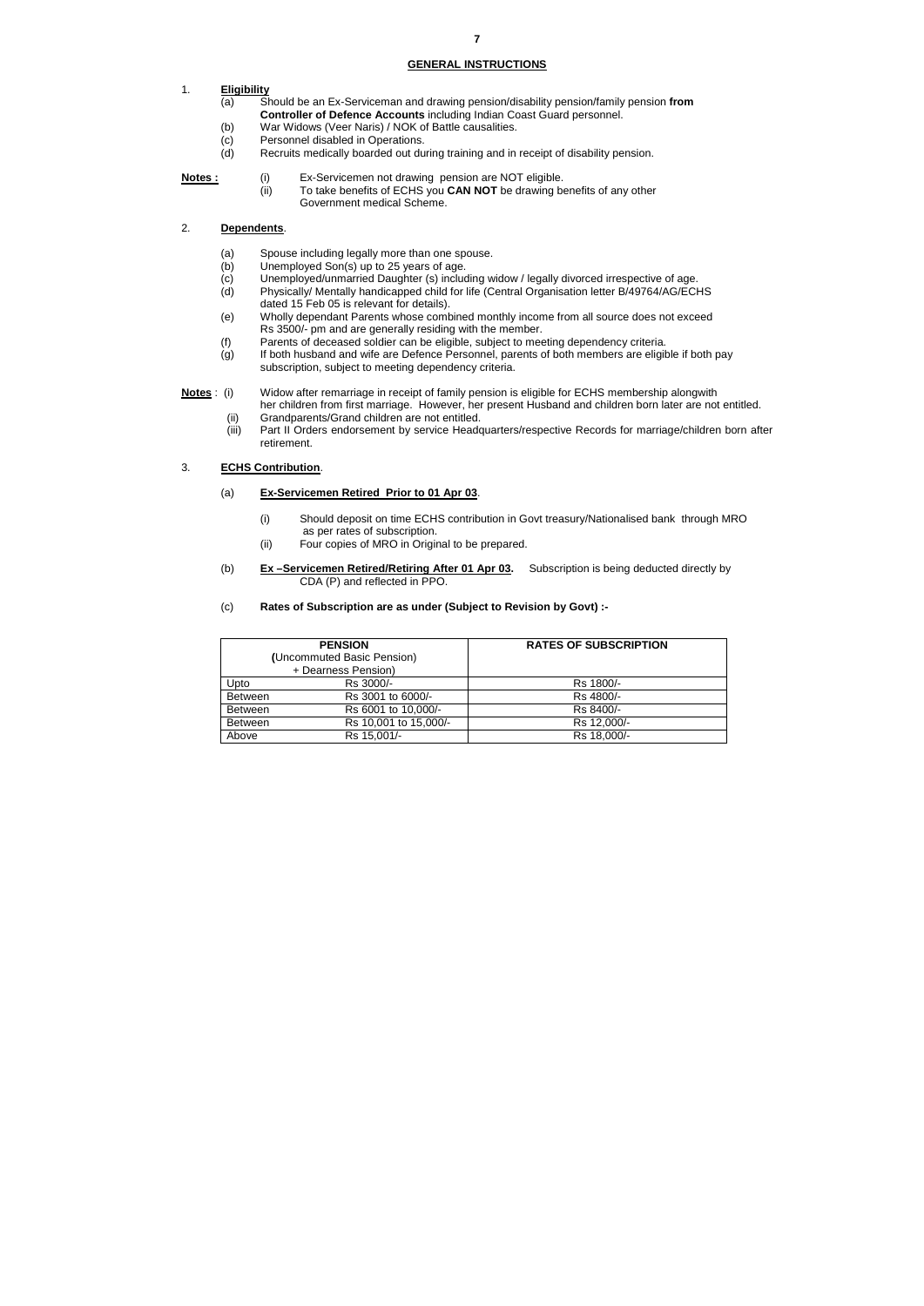#### **GENERAL INSTRUCTIONS**

#### 1. **Eligibility**

- (a) Should be an Ex-Serviceman and drawing pension/disability pension/family pension **from Controller of Defence Accounts** including Indian Coast Guard personnel.
- (b) War Widows (Veer Naris) / NOK of Battle causalities.
- (c) Personnel disabled in Operations.
- (d) Recruits medically boarded out during training and in receipt of disability pension.
- **Notes :** (i) Ex-Servicemen not drawing pension are NOT eligible.
	- (ii) To take benefits of ECHS you **CAN NOT** be drawing benefits of any other Government medical Scheme.

#### 2. **Dependents**.

- (a) Spouse including legally more than one spouse.
- (b) Unemployed Son(s) up to 25 years of age.
- (c) Unemployed/unmarried Daughter (s) including widow / legally divorced irrespective of age.
- (d) Physically/ Mentally handicapped child for life (Central Organisation letter B/49764/AG/ECHS dated 15 Feb 05 is relevant for details).
- (e) Wholly dependant Parents whose combined monthly income from all source does not exceed Rs 3500/- pm and are generally residing with the member.
- (f) Parents of deceased soldier can be eligible, subject to meeting dependency criteria.
- (g) If both husband and wife are Defence Personnel, parents of both members are eligible if both pay subscription, subject to meeting dependency criteria.
- **Notes** : (i) Widow after remarriage in receipt of family pension is eligible for ECHS membership alongwith her children from first marriage. However, her present Husband and children born later are not entitled.
	- (ii) Grandparents/Grand children are not entitled.
	- (iii) Part II Orders endorsement by service Headquarters/respective Records for marriage/children born after retirement.

#### 3. **ECHS Contribution**.

- (a) **Ex-Servicemen Retired Prior to 01 Apr 03**.
	- (i) Should deposit on time ECHS contribution in Govt treasury/Nationalised bank through MRO as per rates of subscription.
	- (ii) Four copies of MRO in Original to be prepared.
- (b) **Ex –Servicemen Retired/Retiring After 01 Apr 03.** Subscription is being deducted directly by CDA (P) and reflected in PPO.
- (c) **Rates of Subscription are as under (Subject to Revision by Govt) :-**

|                | <b>PENSION</b>             | <b>RATES OF SUBSCRIPTION</b> |  |  |
|----------------|----------------------------|------------------------------|--|--|
|                | (Uncommuted Basic Pension) |                              |  |  |
|                | + Dearness Pension)        |                              |  |  |
| Upto           | Rs 3000/-                  | Rs 1800/-                    |  |  |
| <b>Between</b> | Rs 3001 to 6000/-          | Rs 4800/-                    |  |  |
| <b>Between</b> | Rs 6001 to 10,000/-        | Rs 8400/-                    |  |  |
| <b>Between</b> | Rs 10,001 to 15,000/-      | Rs 12,000/-                  |  |  |
| Above          | Rs 15,001/-                | Rs 18,000/-                  |  |  |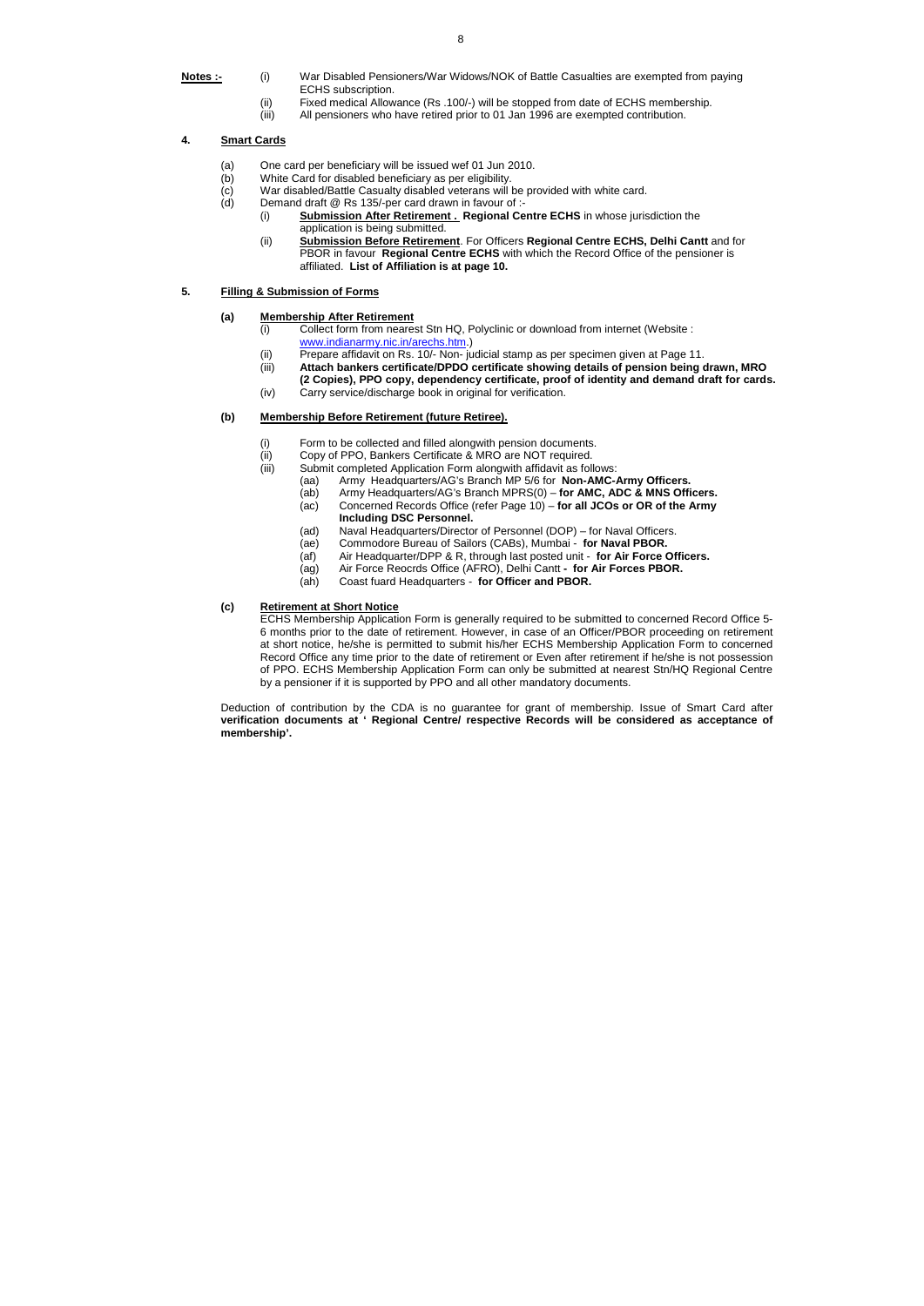- **Notes :-** (i) War Disabled Pensioners/War Widows/NOK of Battle Casualties are exempted from paying ECHS subscription.
	- (ii) Fixed medical Allowance (Rs .100/-) will be stopped from date of ECHS membership.
	- (iii) All pensioners who have retired prior to 01 Jan 1996 are exempted contribution.

#### **4. Smart Cards**

- (a) One card per beneficiary will be issued wef 01 Jun 2010.
- (b) White Card for disabled beneficiary as per eligibility.
- (c) War disabled/Battle Casualty disabled veterans will be provided with white card.
- (d) Demand draft @ Rs 135/-per card drawn in favour of :-
	- (i) **Submission After Retirement . Regional Centre ECHS** in whose jurisdiction the application is being submitted.
	- (ii) **Submission Before Retirement**. For Officers **Regional Centre ECHS, Delhi Cantt** and for PBOR in favour **Regional Centre ECHS** with which the Record Office of the pensioner is affiliated. **List of Affiliation is at page 10.**

#### **5. Filling & Submission of Forms**

#### **(a) Membership After Retirement**

- (i) Collect form from nearest Stn HQ, Polyclinic or download from internet (Website : www.indianarmy.nic.in/arechs.htm.)
- (ii) Prepare affidavit on Rs. 10/- Non- judicial stamp as per specimen given at Page 11.
- (iii) **Attach bankers certificate/DPDO certificate showing details of pension being drawn, MRO (2 Copies), PPO copy, dependency certificate, proof of identity and demand draft for cards.**
- (iv) Carry service/discharge book in original for verification.

#### **(b) Membership Before Retirement (future Retiree).**

- (i) Form to be collected and filled alongwith pension documents.
- (ii) Copy of PPO, Bankers Certificate & MRO are NOT required.
- (iii) Submit completed Application Form alongwith affidavit as follows:
	- (aa) Army Headquarters/AG's Branch MP 5/6 for **Non-AMC-Army Officers.**
	- (ab) Army Headquarters/AG's Branch MPRS(0) **for AMC, ADC & MNS Officers.**
	- (ac) Concerned Records Office (refer Page 10) **for all JCOs or OR of the Army Including DSC Personnel.**
	- (ad) Naval Headquarters/Director of Personnel (DOP) for Naval Officers.<br>(ae) Commodore Bureau of Sailors (CABs), Mumbai for Naval PBOR.
	- Commodore Bureau of Sailors (CABs), Mumbai for Naval PBOR.
	- (af) Air Headquarter/DPP & R, through last posted unit **for Air Force Officers.**
	- (ag) Air Force Reocrds Office (AFRO), Delhi Cantt  **for Air Forces PBOR.**
	- (ah) Coast fuard Headquarters **for Officer and PBOR.**

#### **(c) Retirement at Short Notice**

ECHS Membership Application Form is generally required to be submitted to concerned Record Office 5- 6 months prior to the date of retirement. However, in case of an Officer/PBOR proceeding on retirement at short notice, he/she is permitted to submit his/her ECHS Membership Application Form to concerned Record Office any time prior to the date of retirement or Even after retirement if he/she is not possession of PPO. ECHS Membership Application Form can only be submitted at nearest Stn/HQ Regional Centre by a pensioner if it is supported by PPO and all other mandatory documents.

Deduction of contribution by the CDA is no guarantee for grant of membership. Issue of Smart Card after **verification documents at ' Regional Centre/ respective Records will be considered as acceptance of membership'.**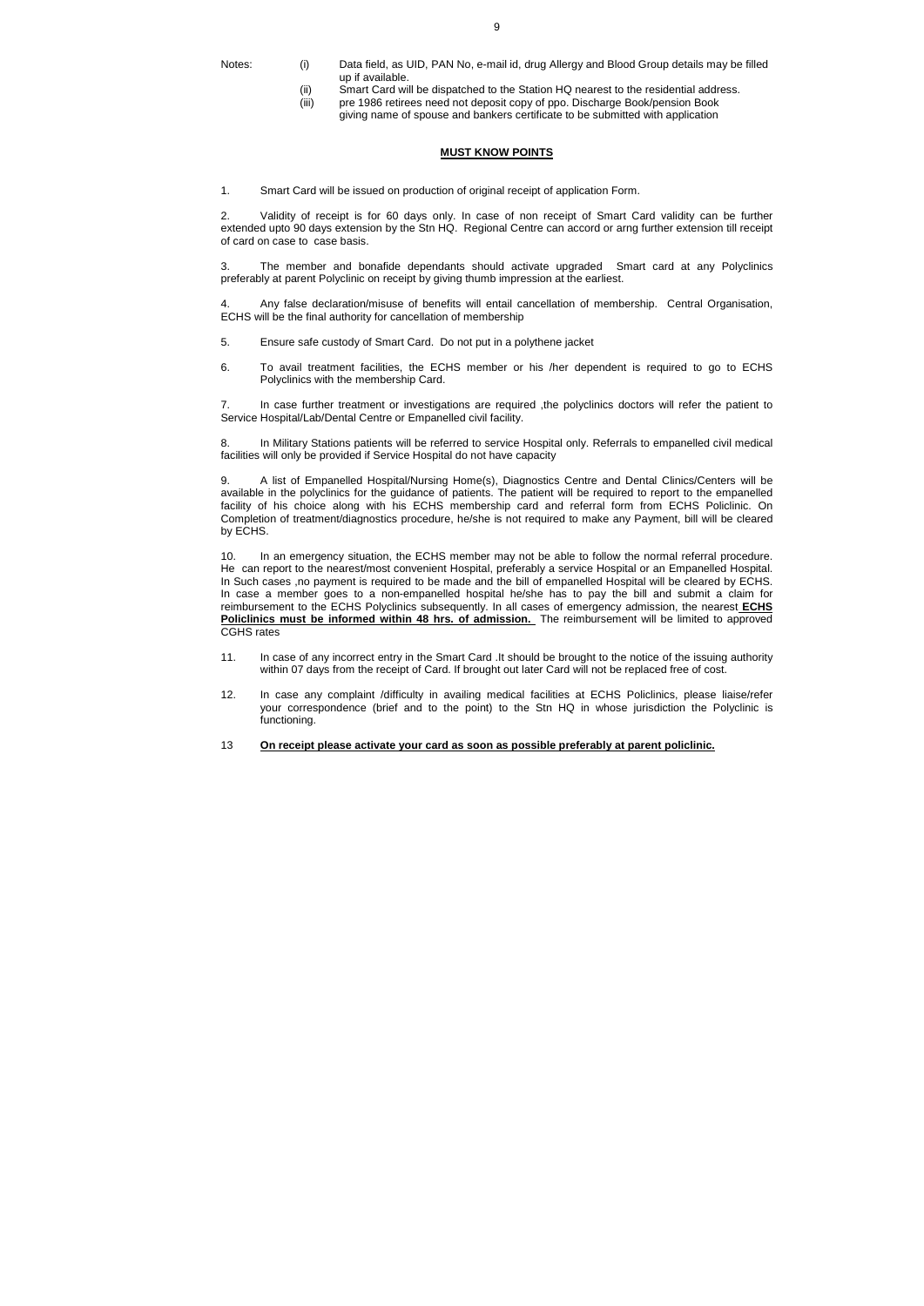- Notes: (i) Data field, as UID, PAN No, e-mail id, drug Allergy and Blood Group details may be filled up if available.
	- (ii) Smart Card will be dispatched to the Station HQ nearest to the residential address.
	- (iii) pre 1986 retirees need not deposit copy of ppo. Discharge Book/pension Book giving name of spouse and bankers certificate to be submitted with application

#### **MUST KNOW POINTS**

1. Smart Card will be issued on production of original receipt of application Form.

2. Validity of receipt is for 60 days only. In case of non receipt of Smart Card validity can be further extended upto 90 days extension by the Stn HQ. Regional Centre can accord or arng further extension till receipt of card on case to case basis.

3. The member and bonafide dependants should activate upgraded Smart card at any Polyclinics preferably at parent Polyclinic on receipt by giving thumb impression at the earliest.

4. Any false declaration/misuse of benefits will entail cancellation of membership. Central Organisation, ECHS will be the final authority for cancellation of membership

- 5. Ensure safe custody of Smart Card. Do not put in a polythene jacket
- 6. To avail treatment facilities, the ECHS member or his /her dependent is required to go to ECHS Polyclinics with the membership Card.

7. In case further treatment or investigations are required ,the polyclinics doctors will refer the patient to Service Hospital/Lab/Dental Centre or Empanelled civil facility.

8. In Military Stations patients will be referred to service Hospital only. Referrals to empanelled civil medical facilities will only be provided if Service Hospital do not have capacity

9. A list of Empanelled Hospital/Nursing Home(s), Diagnostics Centre and Dental Clinics/Centers will be available in the polyclinics for the guidance of patients. The patient will be required to report to the empanelled facility of his choice along with his ECHS membership card and referral form from ECHS Policlinic. On Completion of treatment/diagnostics procedure, he/she is not required to make any Payment, bill will be cleared by ECHS.

10. In an emergency situation, the ECHS member may not be able to follow the normal referral procedure. He can report to the nearest/most convenient Hospital, preferably a service Hospital or an Empanelled Hospital. In Such cases ,no payment is required to be made and the bill of empanelled Hospital will be cleared by ECHS. In case a member goes to a non-empanelled hospital he/she has to pay the bill and submit a claim for reimbursement to the ECHS Polyclinics subsequently. In all cases of emergency admission, the nearest **ECHS Policlinics must be informed within 48 hrs. of admission.** The reimbursement will be limited to approved CGHS rates

- 11. In case of any incorrect entry in the Smart Card .It should be brought to the notice of the issuing authority within 07 days from the receipt of Card. If brought out later Card will not be replaced free of cost.
- 12. In case any complaint /difficulty in availing medical facilities at ECHS Policlinics, please liaise/refer your correspondence (brief and to the point) to the Stn HQ in whose jurisdiction the Polyclinic is functioning.
- 13 **On receipt please activate your card as soon as possible preferably at parent policlinic.**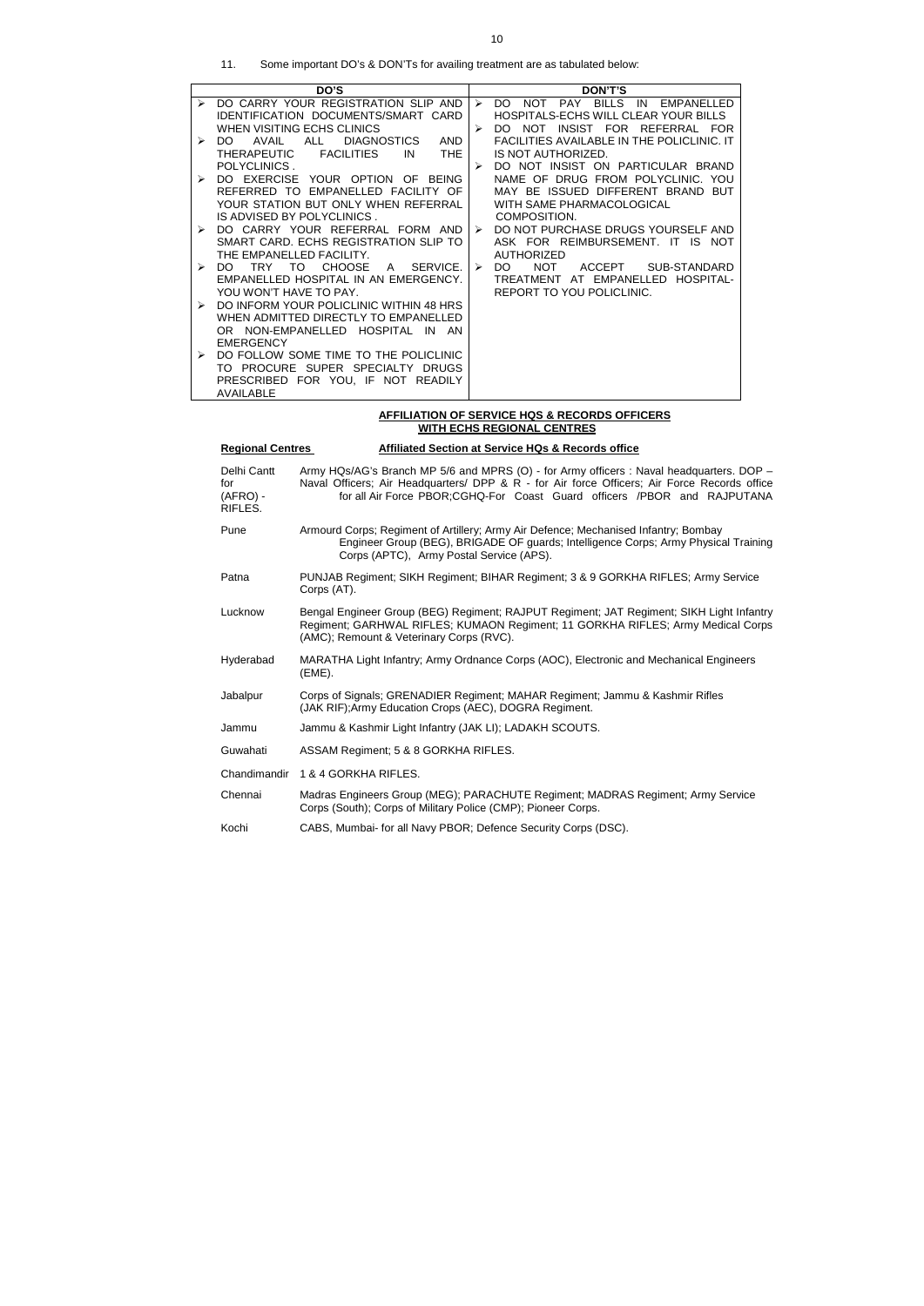| Some important DO's & DON'Ts for availing treatment are as tabulated below:<br>11. |
|------------------------------------------------------------------------------------|
|------------------------------------------------------------------------------------|

|                  | DO'S                                                        |                  | DON'T'S                                                   |
|------------------|-------------------------------------------------------------|------------------|-----------------------------------------------------------|
| $\triangleright$ | DO CARRY YOUR REGISTRATION SLIP AND                         | $\triangleright$ | PAY BILLS<br>IN<br><b>NOT</b><br>DO.<br>EMPANELLED        |
|                  | <b>IDENTIFICATION DOCUMENTS/SMART CARD</b>                  |                  | HOSPITALS-ECHS WILL CLEAR YOUR BILLS                      |
|                  | WHEN VISITING ECHS CLINICS                                  |                  | <b>INSIST</b><br>FOR<br>REFERRAL FOR<br>DO.<br><b>NOT</b> |
| ≻                | <b>AND</b><br>AVAIL<br>ALL<br><b>DIAGNOSTICS</b><br>DO.     |                  | <b>FACILITIES AVAILABLE IN THE POLICLINIC. IT</b>         |
|                  | IN<br><b>THE</b><br><b>THERAPEUTIC</b><br><b>FACILITIES</b> |                  | IS NOT AUTHORIZED.                                        |
|                  | POLYCLINICS.                                                | ➤                | DO NOT INSIST ON PARTICULAR BRAND                         |
| ➤                | DO EXERCISE<br>YOUR OPTION OF<br><b>BEING</b>               |                  | NAME OF DRUG FROM POLYCLINIC. YOU                         |
|                  | REFERRED TO EMPANELLED FACILITY OF                          |                  | MAY BE ISSUED DIFFERENT BRAND BUT                         |
|                  | YOUR STATION BUT ONLY WHEN REFERRAL                         |                  | WITH SAME PHARMACOLOGICAL                                 |
|                  | IS ADVISED BY POLYCLINICS.                                  |                  | COMPOSITION.                                              |
| ➤                | DO CARRY YOUR REFERRAL FORM AND                             | $\triangleright$ | DO NOT PURCHASE DRUGS YOURSELF AND                        |
|                  | SMART CARD. ECHS REGISTRATION SLIP TO                       |                  | ASK FOR REIMBURSEMENT. IT IS NOT                          |
|                  | THE EMPANELLED FACILITY.                                    |                  | <b>AUTHORIZED</b>                                         |
| ➤                | <b>CHOOSE</b><br><b>TRY</b><br>TO.<br>SERVICE.<br>A<br>DO.  | ➤                | NOT.<br>ACCEPT<br>SUB-STANDARD<br>DO.                     |
|                  | EMPANELLED HOSPITAL IN AN EMERGENCY.                        |                  | TREATMENT AT EMPANELLED HOSPITAL-                         |
|                  | YOU WON'T HAVE TO PAY.                                      |                  | REPORT TO YOU POLICLINIC.                                 |
| ➤                | DO INFORM YOUR POLICLINIC WITHIN 48 HRS                     |                  |                                                           |
|                  | WHEN ADMITTED DIRECTLY TO EMPANELLED                        |                  |                                                           |
|                  | OR NON-EMPANELLED HOSPITAL IN AN                            |                  |                                                           |
|                  | <b>EMERGENCY</b>                                            |                  |                                                           |
| ➤                | DO FOLLOW SOME TIME TO THE POLICLINIC                       |                  |                                                           |
|                  | TO PROCURE SUPER SPECIALTY DRUGS                            |                  |                                                           |
|                  | PRESCRIBED FOR YOU, IF NOT READILY                          |                  |                                                           |
|                  | AVAILABLE                                                   |                  |                                                           |

#### **AFFILIATION OF SERVICE HQS & RECORDS OFFICERS WITH ECHS REGIONAL CENTRES**

# **Regional Centres Affiliated Section at Service HQs & Records office** Delhi Cantt Army HQs/AG's Branch MP 5/6 and MPRS (O) - for Army officers : Naval headquarters. DOP for Naval Officers; Air Headquarters/ DPP & R - for Air force Officers; Air Force Records office<br>(AFRO) - for all Air Force PBOR; CGHQ-For Coast Guard officers / PBOR and RAJPUTANA for all Air Force PBOR;CGHQ-For Coast Guard officers /PBOR and RAJPUTANA RIFLES. Pune **Armourd Corps; Regiment of Artillery; Army Air Defence; Mechanised Infantry; Bombay**  Engineer Group (BEG), BRIGADE OF guards; Intelligence Corps; Army Physical Training Corps (APTC), Army Postal Service (APS). Patna PUNJAB Regiment; SIKH Regiment; BIHAR Regiment; 3 & 9 GORKHA RIFLES; Army Service Corps (AT). Lucknow Bengal Engineer Group (BEG) Regiment; RAJPUT Regiment; JAT Regiment; SIKH Light Infantry Regiment; GARHWAL RIFLES; KUMAON Regiment; 11 GORKHA RIFLES; Army Medical Corps (AMC); Remount & Veterinary Corps (RVC). Hyderabad MARATHA Light Infantry; Army Ordnance Corps (AOC), Electronic and Mechanical Engineers (EME). Jabalpur Corps of Signals; GRENADIER Regiment; MAHAR Regiment; Jammu & Kashmir Rifles (JAK RIF);Army Education Crops (AEC), DOGRA Regiment. Jammu Jammu & Kashmir Light Infantry (JAK LI); LADAKH SCOUTS. Guwahati ASSAM Regiment; 5 & 8 GORKHA RIFLES. Chandimandir 1 & 4 GORKHA RIFLES. Chennai Madras Engineers Group (MEG); PARACHUTE Regiment; MADRAS Regiment; Army Service Corps (South); Corps of Military Police (CMP); Pioneer Corps. Kochi CABS, Mumbai- for all Navy PBOR; Defence Security Corps (DSC).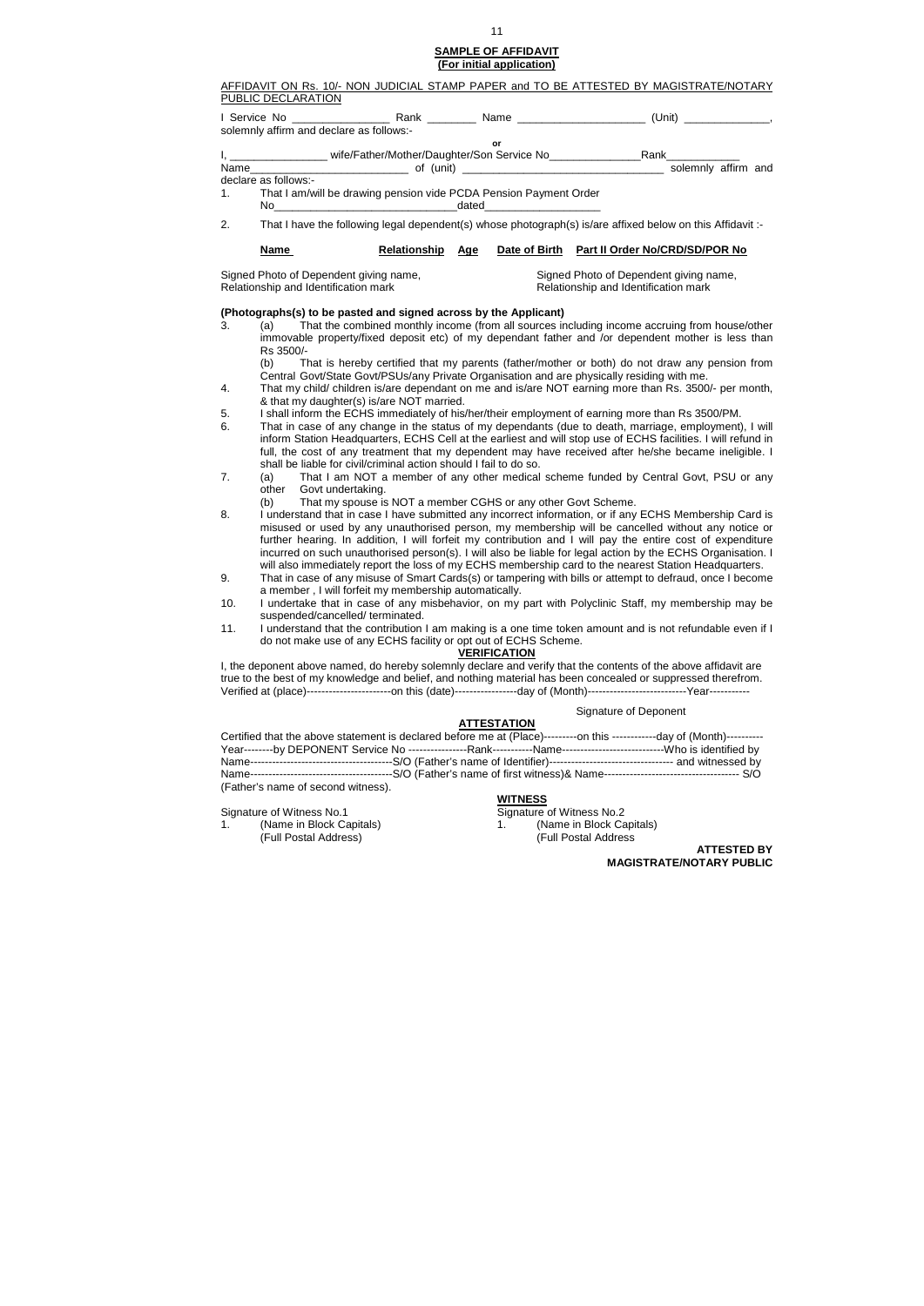#### **SAMPLE OF AFFIDAVIT (For initial application)**

#### AFFIDAVIT ON Rs. 10/- NON JUDICIAL STAMP PAPER and TO BE ATTESTED BY MAGISTRATE/NOTARY PUBLIC DECLARATION

|    |                      | solemnly affirm and declare as follows:-                          |     |                                                                                                            |
|----|----------------------|-------------------------------------------------------------------|-----|------------------------------------------------------------------------------------------------------------|
|    |                      |                                                                   | or  |                                                                                                            |
|    |                      | I, ___________________wife/Father/Mother/Daughter/Son Service No  |     | Rank_____________                                                                                          |
|    |                      |                                                                   |     | solemnly affirm and                                                                                        |
|    | declare as follows:- |                                                                   |     |                                                                                                            |
| 1. |                      | That I am/will be drawing pension vide PCDA Pension Payment Order |     |                                                                                                            |
|    |                      |                                                                   |     |                                                                                                            |
| 2. |                      |                                                                   |     | That I have the following legal dependent(s) whose photograph(s) is/are affixed below on this Affidavit :- |
|    | <b>Name</b>          | <b>Relationship</b>                                               | Age | Date of Birth Part II Order No/CRD/SD/POR No                                                               |

Signed Photo of Dependent giving name, Signed Photo of Dependent giving name, Relationship and Identification mark Relationship and Identification mark

#### **(Photographs(s) to be pasted and signed across by the Applicant)**

3. (a) That the combined monthly income (from all sources including income accruing from house/other immovable property/fixed deposit etc) of my dependant father and /or dependent mother is less than Rs 3500/-

 (b) That is hereby certified that my parents (father/mother or both) do not draw any pension from Central Govt/State Govt/PSUs/any Private Organisation and are physically residing with me.

|                                    | Certified that the above statement is declared before me at (Place)---------on this -------------day of (Month)---------- |  |
|------------------------------------|---------------------------------------------------------------------------------------------------------------------------|--|
|                                    |                                                                                                                           |  |
|                                    |                                                                                                                           |  |
|                                    |                                                                                                                           |  |
| (Father's name of second witness). |                                                                                                                           |  |

- 4. That my child/ children is/are dependant on me and is/are NOT earning more than Rs. 3500/- per month, & that my daughter(s) is/are NOT married.
- 5. I shall inform the ECHS immediately of his/her/their employment of earning more than Rs 3500/PM.
- 6. That in case of any change in the status of my dependants (due to death, marriage, employment), I will inform Station Headquarters, ECHS Cell at the earliest and will stop use of ECHS facilities. I will refund in full, the cost of any treatment that my dependent may have received after he/she became ineligible. I shall be liable for civil/criminal action should I fail to do so.
- 7. (a) That I am NOT a member of any other medical scheme funded by Central Govt, PSU or any other Govt undertaking.
	- (b) That my spouse is NOT a member CGHS or any other Govt Scheme.
- 8. I understand that in case I have submitted any incorrect information, or if any ECHS Membership Card is misused or used by any unauthorised person, my membership will be cancelled without any notice or further hearing. In addition, I will forfeit my contribution and I will pay the entire cost of expenditure incurred on such unauthorised person(s). I will also be liable for legal action by the ECHS Organisation. I will also immediately report the loss of my ECHS membership card to the nearest Station Headquarters.
- 9. That in case of any misuse of Smart Cards(s) or tampering with bills or attempt to defraud, once I become a member , I will forfeit my membership automatically.
- 10. I undertake that in case of any misbehavior, on my part with Polyclinic Staff, my membership may be suspended/cancelled/ terminated.
- 11. I understand that the contribution I am making is a one time token amount and is not refundable even if I do not make use of any ECHS facility or opt out of ECHS Scheme.

#### **VERIFICATION**

I, the deponent above named, do hereby solemnly declare and verify that the contents of the above affidavit are true to the best of my knowledge and belief, and nothing material has been concealed or suppressed therefrom. Verified at (place)-----------------------on this (date)-----------------day of (Month)---------------------------Year-----------

#### Signature of Deponent

#### **ATTESTATION**

 **WITNESS** Signature of Witness No.1 Signature of Witness No.2 1. (Name in Block Capitals) 1. (Name in Block Capitals) (Full Postal Address)(Full Postal Address

**ATTESTED BY MAGISTRATE/NOTARY PUBLIC**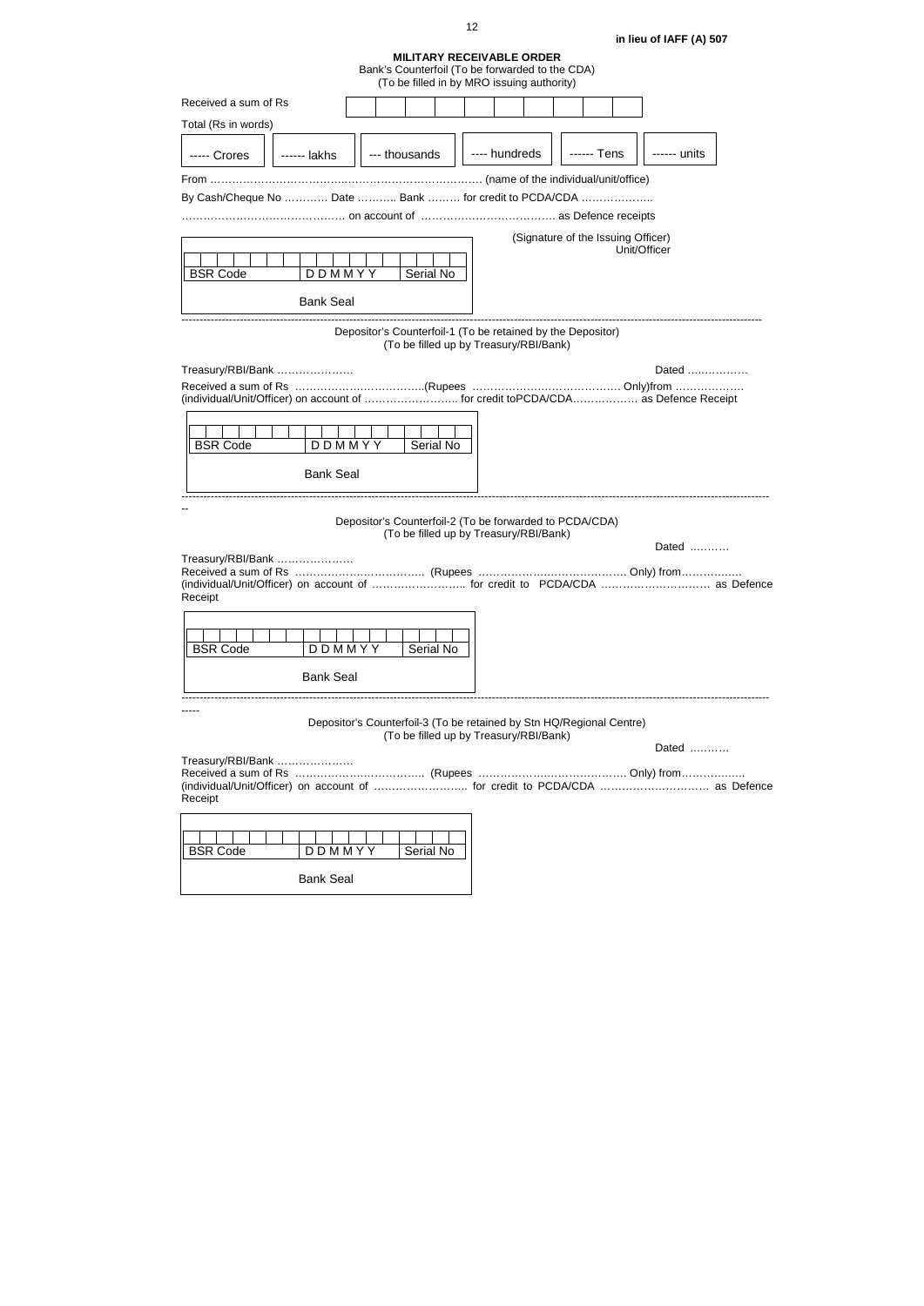**in lieu of IAFF (A) 507** 

## **MILITARY RECEIVABLE ORDER**

|                                                                                                                                                                | (TO be filled in by MKO issuing additionly)                                                                    |               |                                    |             |              |  |
|----------------------------------------------------------------------------------------------------------------------------------------------------------------|----------------------------------------------------------------------------------------------------------------|---------------|------------------------------------|-------------|--------------|--|
| Received a sum of Rs                                                                                                                                           |                                                                                                                |               |                                    |             |              |  |
| Total (Rs in words)                                                                                                                                            |                                                                                                                |               |                                    |             |              |  |
| ----- Crores<br>------ lakhs                                                                                                                                   | --- thousands                                                                                                  | ---- hundreds |                                    | ------ Tens | ------ units |  |
|                                                                                                                                                                |                                                                                                                |               |                                    |             |              |  |
| By Cash/Cheque No  Date  Bank  for credit to PCDA/CDA                                                                                                          |                                                                                                                |               |                                    |             |              |  |
|                                                                                                                                                                |                                                                                                                |               |                                    |             |              |  |
|                                                                                                                                                                |                                                                                                                |               | (Signature of the Issuing Officer) |             |              |  |
| <b>BSR Code</b><br>DDMMYY                                                                                                                                      | Serial No                                                                                                      |               |                                    |             | Unit/Officer |  |
| <b>Bank Seal</b>                                                                                                                                               |                                                                                                                |               |                                    |             |              |  |
|                                                                                                                                                                | Depositor's Counterfoil-1 (To be retained by the Depositor)<br>(To be filled up by Treasury/RBI/Bank)          |               |                                    |             |              |  |
| Treasury/RBI/Bank                                                                                                                                              |                                                                                                                |               |                                    |             | Dated        |  |
| Received a sum of Rs ………………………………(Rupees ……………………………………… Only)from ………………<br>(individual/Unit/Officer) on account of  for credit toPCDA/CDA as Defence Receipt |                                                                                                                |               |                                    |             |              |  |
| <b>BSR Code</b>                                                                                                                                                | DDMMYY<br>Serial No                                                                                            |               |                                    |             |              |  |
| <b>Bank Seal</b>                                                                                                                                               |                                                                                                                |               |                                    |             |              |  |
|                                                                                                                                                                | Depositor's Counterfoil-2 (To be forwarded to PCDA/CDA)<br>(To be filled up by Treasury/RBI/Bank)              |               |                                    |             | Dated        |  |
| Treasury/RBI/Bank<br>Received a sum of Rs<br>(individual/Unit/Officer) on account of  for credit to PCDA/CDA  as Defence<br>Receipt                            | ………………(Rupees ……………………………………… Only) from……………                                                                  |               |                                    |             |              |  |
| DDMMYY<br><b>BSR Code</b>                                                                                                                                      | Serial No                                                                                                      |               |                                    |             |              |  |
| <b>Bank Seal</b>                                                                                                                                               |                                                                                                                |               |                                    |             |              |  |
|                                                                                                                                                                | Depositor's Counterfoil-3 (To be retained by Stn HQ/Regional Centre)<br>(To be filled up by Treasury/RBI/Bank) |               |                                    |             | Dated        |  |
| Treasury/RBI/Bank<br>(individual/Unit/Officer) on account of  for credit to PCDA/CDA  as Defence<br>Receipt                                                    |                                                                                                                |               |                                    |             |              |  |
| <b>BSR Code</b><br>DDMMYY                                                                                                                                      | Serial No                                                                                                      |               |                                    |             |              |  |
| <b>Bank Seal</b>                                                                                                                                               |                                                                                                                |               |                                    |             |              |  |

Bank's Counterfoil (To be forwarded to the CDA) (To be filled in by MRO issuing authority)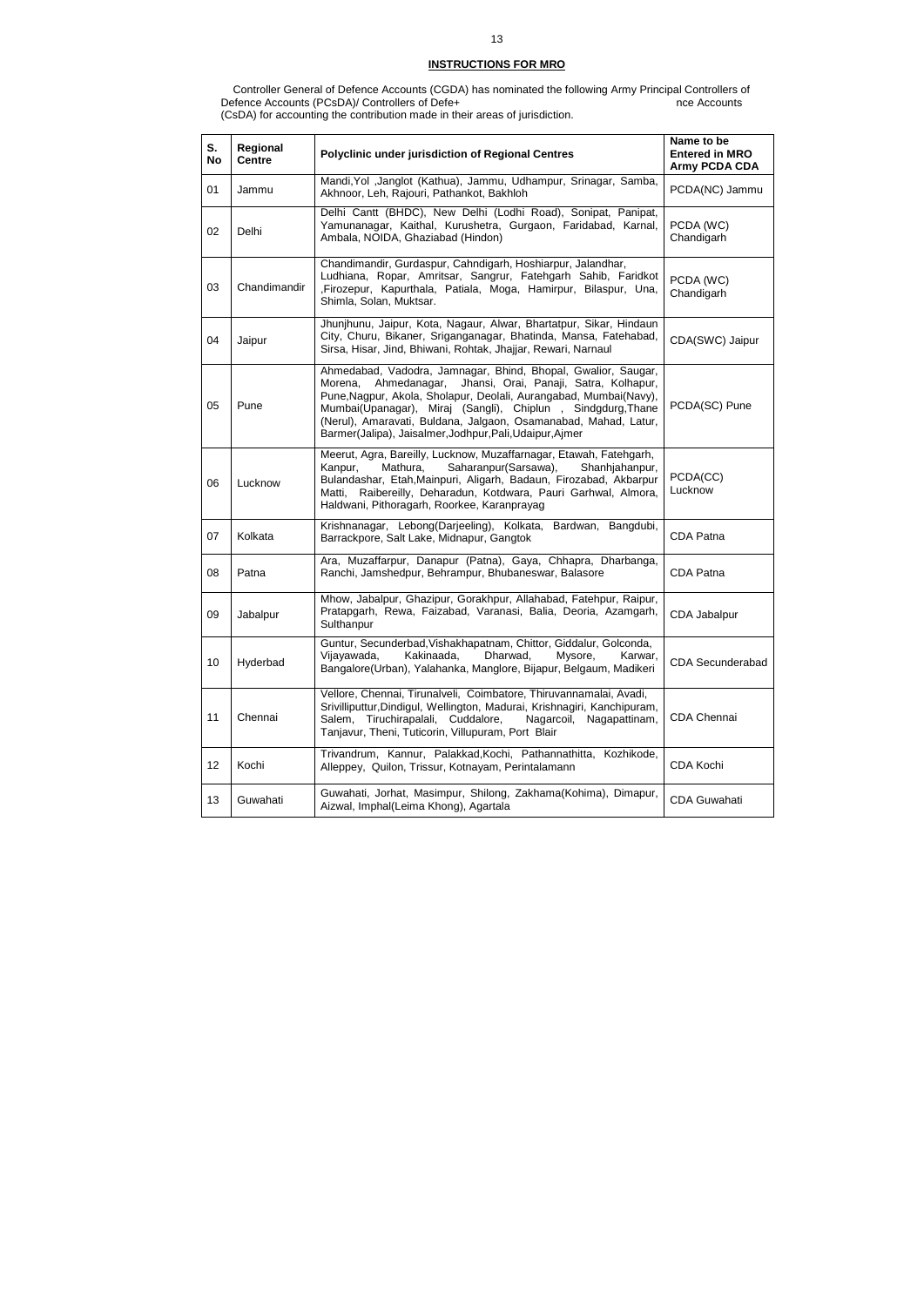## **INSTRUCTIONS FOR MRO**

 Controller General of Defence Accounts (CGDA) has nominated the following Army Principal Controllers of Defence Accounts (PCsDA)/ Controllers of Defe+ nce Accounts nce Accounts (CsDA) for accounting the contribution made in their areas of jurisdiction.

| S.<br>No | Regional<br><b>Centre</b> | <b>Polyclinic under jurisdiction of Regional Centres</b>                                                                                                                                                                                                                                                                                                                                              | Name to be<br><b>Entered in MRO</b><br><b>Army PCDA CDA</b> |
|----------|---------------------------|-------------------------------------------------------------------------------------------------------------------------------------------------------------------------------------------------------------------------------------------------------------------------------------------------------------------------------------------------------------------------------------------------------|-------------------------------------------------------------|
| 01       | Jammu                     | Mandi, Yol , Janglot (Kathua), Jammu, Udhampur, Srinagar, Samba,<br>Akhnoor, Leh, Rajouri, Pathankot, Bakhloh                                                                                                                                                                                                                                                                                         | PCDA(NC) Jammu                                              |
| 02       | Delhi                     | Delhi Cantt (BHDC), New Delhi (Lodhi Road), Sonipat, Panipat,<br>Yamunanagar, Kaithal, Kurushetra, Gurgaon, Faridabad, Karnal,<br>Ambala, NOIDA, Ghaziabad (Hindon)                                                                                                                                                                                                                                   | PCDA (WC)<br>Chandigarh                                     |
| 03       | Chandimandir              | Chandimandir, Gurdaspur, Cahndigarh, Hoshiarpur, Jalandhar,<br>Ludhiana, Ropar, Amritsar, Sangrur, Fatehgarh Sahib, Faridkot<br>, Firozepur, Kapurthala, Patiala, Moga, Hamirpur, Bilaspur, Una,<br>Shimla, Solan, Muktsar.                                                                                                                                                                           | PCDA (WC)<br>Chandigarh                                     |
| 04       | Jaipur                    | Jhunjhunu, Jaipur, Kota, Nagaur, Alwar, Bhartatpur, Sikar, Hindaun<br>City, Churu, Bikaner, Sriganganagar, Bhatinda, Mansa, Fatehabad,<br>Sirsa, Hisar, Jind, Bhiwani, Rohtak, Jhajjar, Rewari, Narnaul                                                                                                                                                                                               | CDA(SWC) Jaipur                                             |
| 05       | Pune                      | Ahmedabad, Vadodra, Jamnagar, Bhind, Bhopal, Gwalior, Saugar,<br>Ahmedanagar,<br>Jhansi, Orai, Panaji, Satra, Kolhapur,<br>Morena,<br>Pune, Nagpur, Akola, Sholapur, Deolali, Aurangabad, Mumbai(Navy),<br>Mumbai(Upanagar), Miraj (Sangli), Chiplun, Sindgdurg, Thane<br>(Nerul), Amaravati, Buldana, Jalgaon, Osamanabad, Mahad, Latur,<br>Barmer(Jalipa), Jaisalmer, Jodhpur, Pali, Udaipur, Ajmer | PCDA(SC) Pune                                               |
| 06       | Lucknow                   | Meerut, Agra, Bareilly, Lucknow, Muzaffarnagar, Etawah, Fatehgarh,<br>Kanpur,<br>Mathura,<br>Saharanpur(Sarsawa),<br>Shanhjahanpur,<br>Bulandashar, Etah, Mainpuri, Aligarh, Badaun, Firozabad, Akbarpur<br>Matti, Raibereilly, Deharadun, Kotdwara, Pauri Garhwal, Almora,<br>Haldwani, Pithoragarh, Roorkee, Karanprayag                                                                            | PCDA(CC)<br>Lucknow                                         |
| 07       | Kolkata                   | Krishnanagar, Lebong(Darjeeling), Kolkata, Bardwan, Bangdubi,<br>Barrackpore, Salt Lake, Midnapur, Gangtok                                                                                                                                                                                                                                                                                            | CDA Patna                                                   |
| 08       | Patna                     | Ara, Muzaffarpur, Danapur (Patna), Gaya, Chhapra, Dharbanga,<br>Ranchi, Jamshedpur, Behrampur, Bhubaneswar, Balasore                                                                                                                                                                                                                                                                                  | CDA Patna                                                   |
| 09       | Jabalpur                  | Mhow, Jabalpur, Ghazipur, Gorakhpur, Allahabad, Fatehpur, Raipur,<br>Pratapgarh, Rewa, Faizabad, Varanasi, Balia, Deoria, Azamgarh,<br>Sulthanpur                                                                                                                                                                                                                                                     | CDA Jabalpur                                                |
| 10       | Hyderbad                  | Guntur, Secunderbad, Vishakhapatnam, Chittor, Giddalur, Golconda,<br>Vijayawada,<br>Kakinaada,<br>Dharwad,<br>Mysore,<br>Karwar,<br>Bangalore(Urban), Yalahanka, Manglore, Bijapur, Belgaum, Madikeri                                                                                                                                                                                                 | <b>CDA Secunderabad</b>                                     |
| 11       | Chennai                   | Vellore, Chennai, Tirunalveli, Coimbatore, Thiruvannamalai, Avadi,<br>Srivilliputtur, Dindigul, Wellington, Madurai, Krishnagiri, Kanchipuram,<br>Salem, Tiruchirapalali, Cuddalore,<br>Nagarcoil, Nagapattinam,<br>Tanjavur, Theni, Tuticorin, Villupuram, Port Blair                                                                                                                                | CDA Chennai                                                 |
| 12       | Kochi                     | Trivandrum, Kannur, Palakkad, Kochi, Pathannathitta, Kozhikode,<br>Alleppey, Quilon, Trissur, Kotnayam, Perintalamann                                                                                                                                                                                                                                                                                 | CDA Kochi                                                   |
| 13       | Guwahati                  | Guwahati, Jorhat, Masimpur, Shilong, Zakhama(Kohima), Dimapur,<br>Aizwal, Imphal(Leima Khong), Agartala                                                                                                                                                                                                                                                                                               | <b>CDA Guwahati</b>                                         |